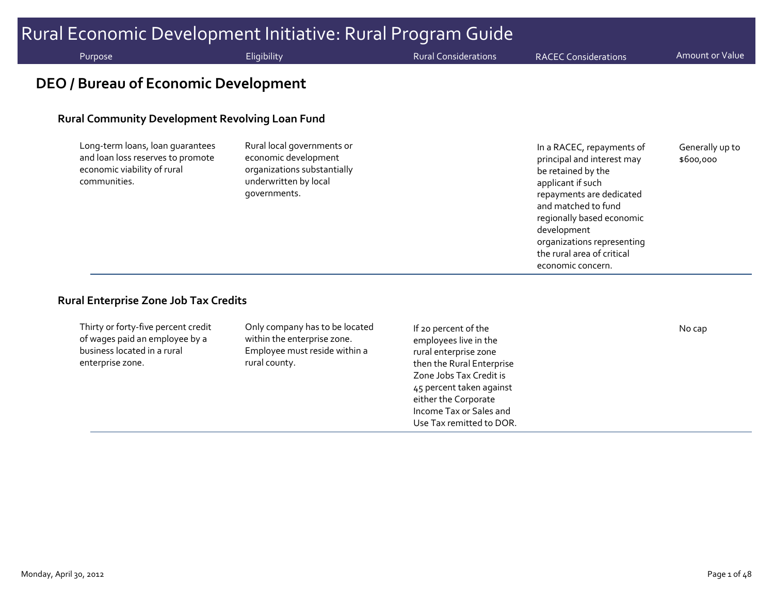# Rural Economic Development Initiative: Rural Program Guide Purpose **Eligibility** Eligibility Rural Considerations RACEC Considerations Amount or Value **DEO / Bureau of Economic Development**

#### **Rural Community Development Revolving Loan Fund**

Long‐term loans, loan guarantees and loan loss reserves to promote economic viability of rural communities.

Rural local governments or economic development organizations substantially underwritten by local governments.

In <sup>a</sup> RACEC, repayments of principal and interest may be retained by the applicant if such repayments are dedicated and matched to fund regionally based economic development organizations representing the rural area of critical economic concern. Generally up to \$600,000

#### **Rural Enterprise Zone Job Tax Credits**

| Thirty or forty-five percent credit<br>Only company has to be located<br>of wages paid an employee by a<br>within the enterprise zone.<br>business located in a rural<br>Employee must reside within a<br>enterprise zone.<br>rural county. | If 20 percent of the<br>employees live in the<br>rural enterprise zone<br>then the Rural Enterprise<br>Zone Jobs Tax Credit is<br>45 percent taken against<br>either the Corporate<br>Income Tax or Sales and | No cap |
|---------------------------------------------------------------------------------------------------------------------------------------------------------------------------------------------------------------------------------------------|---------------------------------------------------------------------------------------------------------------------------------------------------------------------------------------------------------------|--------|
|---------------------------------------------------------------------------------------------------------------------------------------------------------------------------------------------------------------------------------------------|---------------------------------------------------------------------------------------------------------------------------------------------------------------------------------------------------------------|--------|

Use Tax remitted to DOR.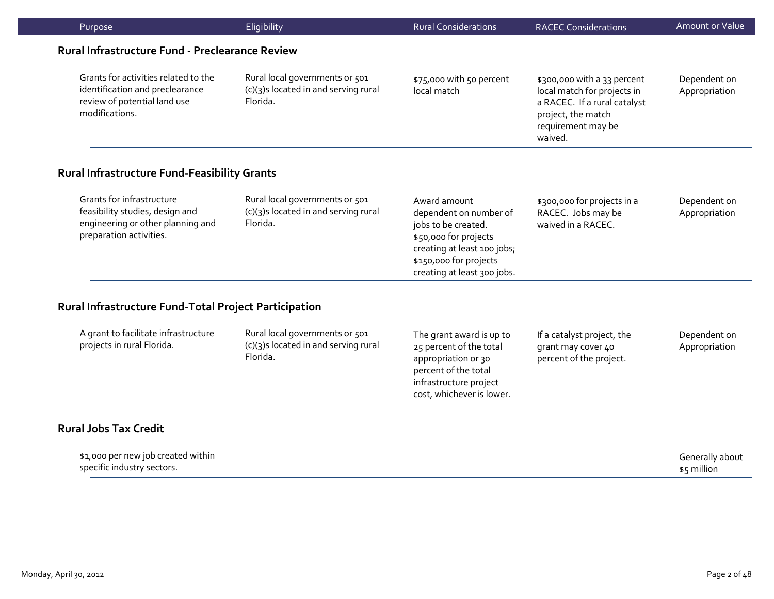| Purpose                                                                                                                      | Eligibility                                                                        | <b>Rural Considerations</b>                                                                                                                                                    | <b>RACEC Considerations</b>                                                                                                                       | Amount or Value               |
|------------------------------------------------------------------------------------------------------------------------------|------------------------------------------------------------------------------------|--------------------------------------------------------------------------------------------------------------------------------------------------------------------------------|---------------------------------------------------------------------------------------------------------------------------------------------------|-------------------------------|
| Rural Infrastructure Fund - Preclearance Review                                                                              |                                                                                    |                                                                                                                                                                                |                                                                                                                                                   |                               |
| Grants for activities related to the<br>identification and preclearance<br>review of potential land use<br>modifications.    | Rural local governments or 501<br>(c)(3)s located in and serving rural<br>Florida. | \$75,000 with 50 percent<br>local match                                                                                                                                        | \$300,000 with a 33 percent<br>local match for projects in<br>a RACEC. If a rural catalyst<br>project, the match<br>requirement may be<br>waived. | Dependent on<br>Appropriation |
| <b>Rural Infrastructure Fund-Feasibility Grants</b>                                                                          |                                                                                    |                                                                                                                                                                                |                                                                                                                                                   |                               |
| Grants for infrastructure<br>feasibility studies, design and<br>engineering or other planning and<br>preparation activities. | Rural local governments or 501<br>(c)(3)s located in and serving rural<br>Florida. | Award amount<br>dependent on number of<br>jobs to be created.<br>\$50,000 for projects<br>creating at least 100 jobs;<br>\$150,000 for projects<br>creating at least 300 jobs. | \$300,000 for projects in a<br>RACEC. Jobs may be<br>waived in a RACEC.                                                                           | Dependent on<br>Appropriation |
| Rural Infrastructure Fund-Total Project Participation                                                                        |                                                                                    |                                                                                                                                                                                |                                                                                                                                                   |                               |
| A grant to facilitate infrastructure<br>projects in rural Florida.                                                           | Rural local governments or 501<br>(c)(3)s located in and serving rural<br>Florida. | The grant award is up to<br>25 percent of the total<br>appropriation or 30<br>percent of the total<br>infrastructure project<br>cost, whichever is lower.                      | If a catalyst project, the<br>grant may cover 40<br>percent of the project.                                                                       | Dependent on<br>Appropriation |

#### **Rural Jobs Tax Credit**

| \$1,000 per new job created within | Generally about |
|------------------------------------|-----------------|
| specific industry sectors.         | \$5 million     |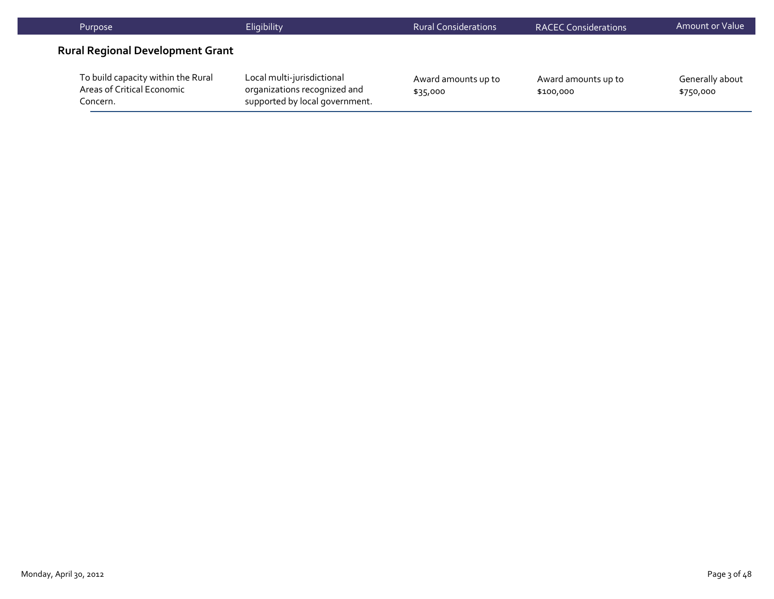| Purpose                                                                      | Eligibility                                                                                  | <b>Rural Considerations</b>     | <b>RACEC Considerations</b>      | Amount or Value              |
|------------------------------------------------------------------------------|----------------------------------------------------------------------------------------------|---------------------------------|----------------------------------|------------------------------|
| <b>Rural Regional Development Grant</b>                                      |                                                                                              |                                 |                                  |                              |
| To build capacity within the Rural<br>Areas of Critical Economic<br>Concern. | Local multi-jurisdictional<br>organizations recognized and<br>supported by local government. | Award amounts up to<br>\$35,000 | Award amounts up to<br>\$100,000 | Generally about<br>\$750,000 |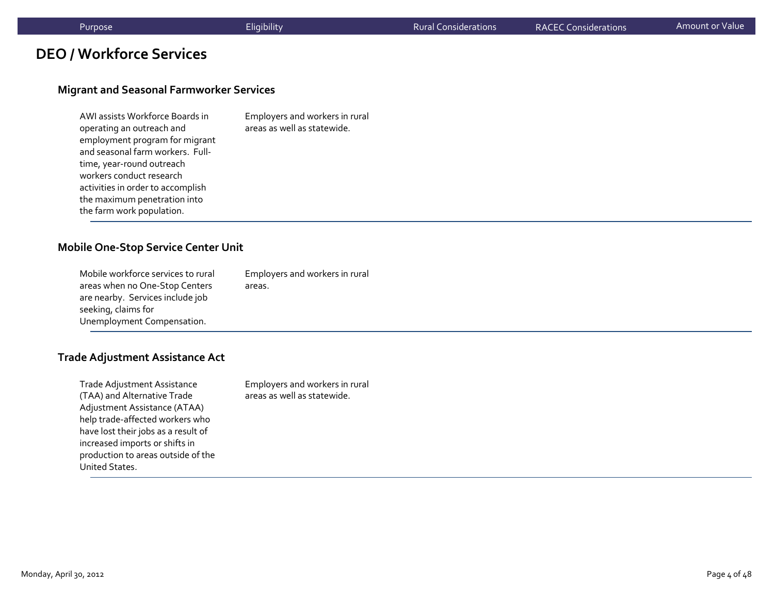### **DEO / Workforce Services**

#### **Migrant and Seasonal Farmworker Services**

| AWI assists Workforce Boards in   | Employers and workers in rural |
|-----------------------------------|--------------------------------|
| operating an outreach and         | areas as well as statewide.    |
| employment program for migrant    |                                |
| and seasonal farm workers. Full-  |                                |
| time, year-round outreach         |                                |
| workers conduct research          |                                |
| activities in order to accomplish |                                |
| the maximum penetration into      |                                |
| the farm work population.         |                                |

#### **Mobile One‐Stop Service Center Unit**

| Mobile workforce services to rural | Employers and workers in rural |
|------------------------------------|--------------------------------|
| areas when no One-Stop Centers     | areas.                         |
| are nearby. Services include job   |                                |
| seeking, claims for                |                                |
| Unemployment Compensation.         |                                |
|                                    |                                |

#### **Trade Adjustment Assistance Act**

| Trade Adjustment Assistance         | Employers and workers in rural |
|-------------------------------------|--------------------------------|
| (TAA) and Alternative Trade         | areas as well as statewide.    |
| Adjustment Assistance (ATAA)        |                                |
| help trade-affected workers who     |                                |
| have lost their jobs as a result of |                                |
| increased imports or shifts in      |                                |
| production to areas outside of the  |                                |
| United States.                      |                                |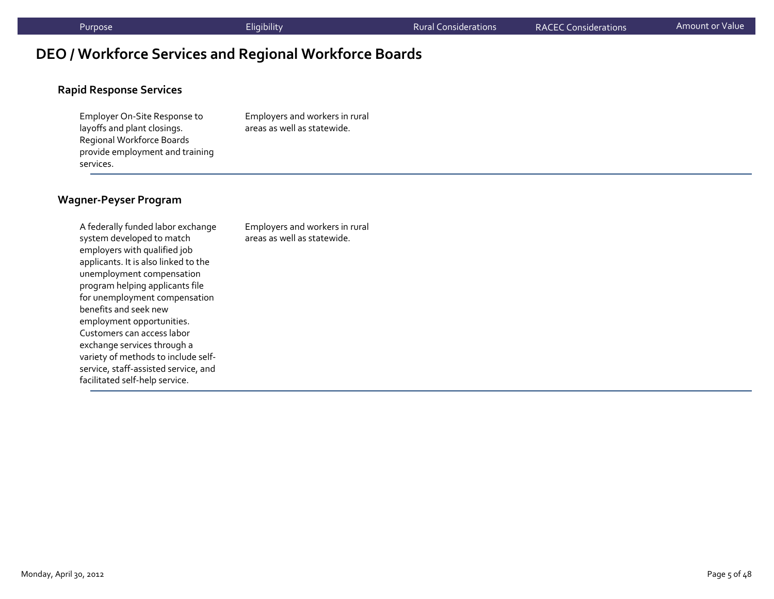# **DEO / Workforce Services and Regional Workforce Boards**

#### **Rapid Response Services**

Employer On‐Site Response to layoffs and plant closings. Regional Workforce Boards provide employment and training services.

Employers and workers in rural areas as well as statewide.

#### **Wagner‐Peyser Program**

A federally funded labor exchange system developed to match employers with qualified job applicants. It is also linked to the unemployment compensation program helping applicants file for unemployment compensation benefits and seek newemployment opportunities. Customers can access labor exchange services through <sup>a</sup> variety of methods to include self‐ service, staff‐assisted service, and facilitated self‐help service.

Employers and workers in rural areas as well as statewide.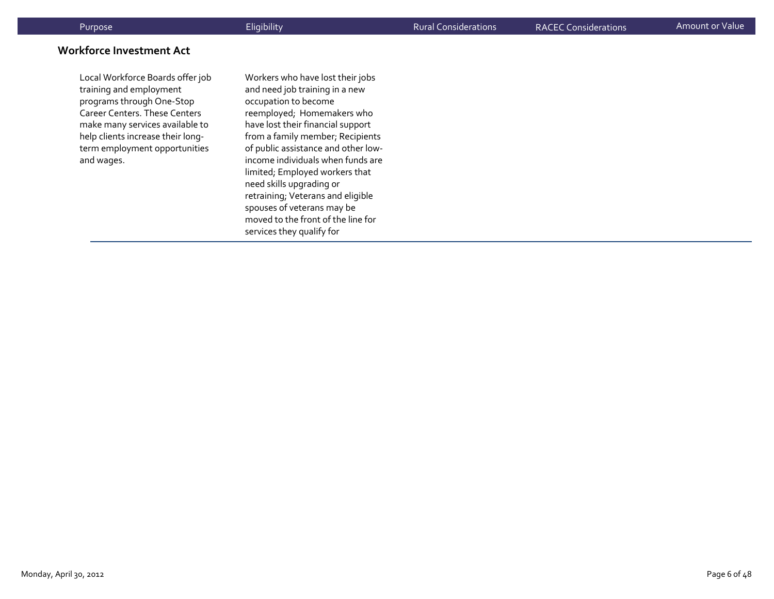#### **Workforce Investment Act**

Local Workforce Boards offer job training and employment programs through One‐Stop Career Centers. These Centers make many services available to help clients increase their long‐ term employment opportunities and wages.

Workers who have lost their jobs and need job training in <sup>a</sup> new occupation to become reemployed; Homemakers who have lost their financial suppor<sup>t</sup> from <sup>a</sup> family member; Recipients of public assistance and other low‐ income individuals when funds are limited; Employed workers that need skills upgrading or retraining; Veterans and eligible spouses of veterans may be moved to the front of the line for services they qualify for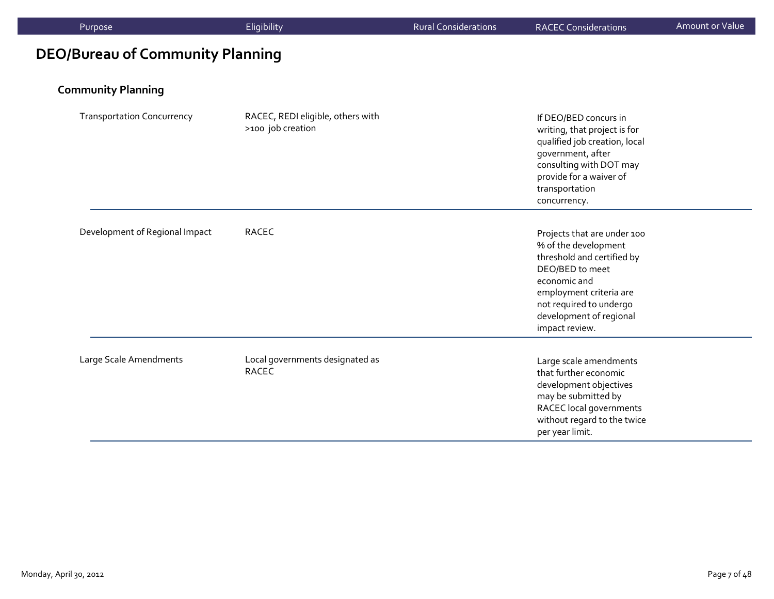| Purpose                                 | Eligibility                                            | <b>Rural Considerations</b> | <b>RACEC Considerations</b>                                                                                                                                                                                             | Amount or Value |
|-----------------------------------------|--------------------------------------------------------|-----------------------------|-------------------------------------------------------------------------------------------------------------------------------------------------------------------------------------------------------------------------|-----------------|
| <b>DEO/Bureau of Community Planning</b> |                                                        |                             |                                                                                                                                                                                                                         |                 |
| <b>Community Planning</b>               |                                                        |                             |                                                                                                                                                                                                                         |                 |
| <b>Transportation Concurrency</b>       | RACEC, REDI eligible, others with<br>>100 job creation |                             | If DEO/BED concurs in<br>writing, that project is for<br>qualified job creation, local<br>government, after<br>consulting with DOT may<br>provide for a waiver of<br>transportation<br>concurrency.                     |                 |
| Development of Regional Impact          | <b>RACEC</b>                                           |                             | Projects that are under 100<br>% of the development<br>threshold and certified by<br>DEO/BED to meet<br>economic and<br>employment criteria are<br>not required to undergo<br>development of regional<br>impact review. |                 |
| Large Scale Amendments                  | Local governments designated as<br><b>RACEC</b>        |                             | Large scale amendments<br>that further economic<br>development objectives<br>may be submitted by<br>RACEC local governments<br>without regard to the twice<br>per year limit.                                           |                 |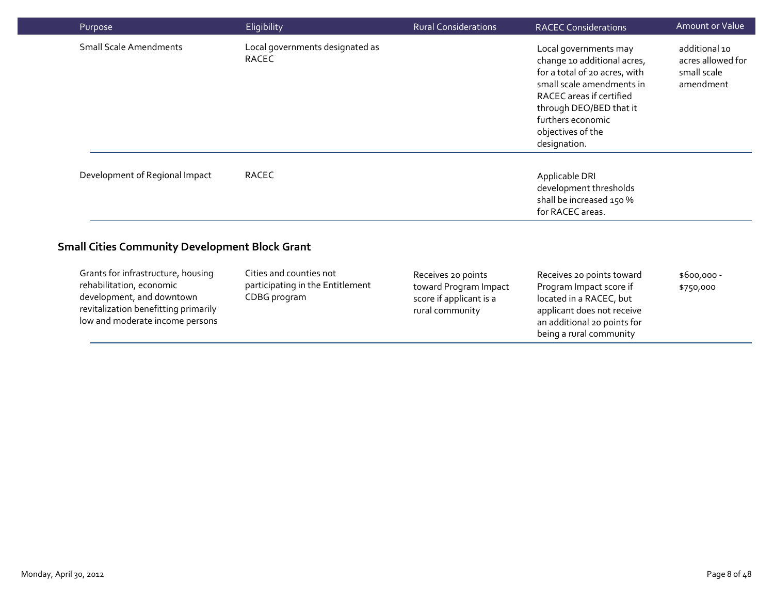| Purpose                                                                                                                                                                | Eligibility                                                                 | <b>Rural Considerations</b>                                                               | <b>RACEC Considerations</b>                                                                                                                                                                                                         | <b>Amount or Value</b>                                         |
|------------------------------------------------------------------------------------------------------------------------------------------------------------------------|-----------------------------------------------------------------------------|-------------------------------------------------------------------------------------------|-------------------------------------------------------------------------------------------------------------------------------------------------------------------------------------------------------------------------------------|----------------------------------------------------------------|
| <b>Small Scale Amendments</b>                                                                                                                                          | Local governments designated as<br><b>RACEC</b>                             |                                                                                           | Local governments may<br>change 10 additional acres,<br>for a total of 20 acres, with<br>small scale amendments in<br>RACEC areas if certified<br>through DEO/BED that it<br>furthers economic<br>objectives of the<br>designation. | additional 10<br>acres allowed for<br>small scale<br>amendment |
| Development of Regional Impact                                                                                                                                         | RACEC                                                                       |                                                                                           | Applicable DRI<br>development thresholds<br>shall be increased 150 %<br>for RACEC areas.                                                                                                                                            |                                                                |
| <b>Small Cities Community Development Block Grant</b>                                                                                                                  |                                                                             |                                                                                           |                                                                                                                                                                                                                                     |                                                                |
| Grants for infrastructure, housing<br>rehabilitation, economic<br>development, and downtown<br>revitalization benefitting primarily<br>low and moderate income persons | Cities and counties not<br>participating in the Entitlement<br>CDBG program | Receives 20 points<br>toward Program Impact<br>score if applicant is a<br>rural community | Receives 20 points toward<br>Program Impact score if<br>located in a RACEC, but<br>applicant does not receive<br>an additional 20 points for<br>being a rural community                                                             | $$600,000 -$<br>\$750,000                                      |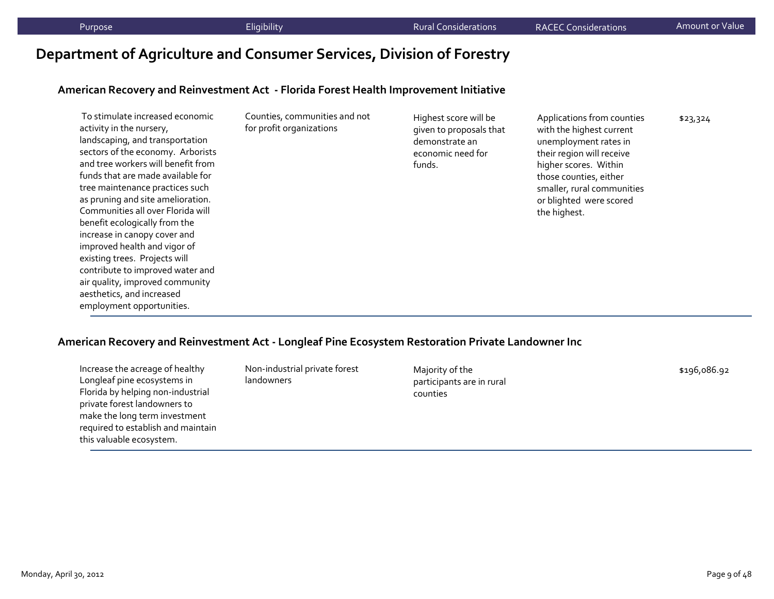# **Department of Agriculture and Consumer Services, Division of Forestry**

#### **American Recovery and Reinvestment Act ‐ Florida Forest Health Improvement Initiative**

| To stimulate increased economic<br>activity in the nursery,<br>landscaping, and transportation<br>sectors of the economy. Arborists<br>and tree workers will benefit from<br>funds that are made available for<br>tree maintenance practices such<br>as pruning and site amelioration.<br>Communities all over Florida will<br>benefit ecologically from the<br>increase in canopy cover and<br>improved health and vigor of<br>existing trees. Projects will<br>contribute to improved water and<br>air quality, improved community<br>aesthetics, and increased | Counties, communities and not<br>for profit organizations | Highest score will be<br>given to proposals that<br>demonstrate an<br>economic need for<br>funds. | Applications from counties<br>with the highest current<br>unemployment rates in<br>their region will receive<br>higher scores. Within<br>those counties, either<br>smaller, rural communities<br>or blighted were scored<br>the highest. | \$23,324 |
|-------------------------------------------------------------------------------------------------------------------------------------------------------------------------------------------------------------------------------------------------------------------------------------------------------------------------------------------------------------------------------------------------------------------------------------------------------------------------------------------------------------------------------------------------------------------|-----------------------------------------------------------|---------------------------------------------------------------------------------------------------|------------------------------------------------------------------------------------------------------------------------------------------------------------------------------------------------------------------------------------------|----------|
| employment opportunities.                                                                                                                                                                                                                                                                                                                                                                                                                                                                                                                                         |                                                           |                                                                                                   |                                                                                                                                                                                                                                          |          |

#### **American Recovery and Reinvestment Act ‐ Longleaf Pine Ecosystem Restoration Private Landowner Inc**

Increase the acreage of healthy Longleaf pine ecosystems in Florida by helping non‐industrial private forest landowners to make the long term investment required to establish and maintain this valuable ecosystem.

Non‐industrial private forest landowners

Majority of the participants are in rural counties

\$196,086.92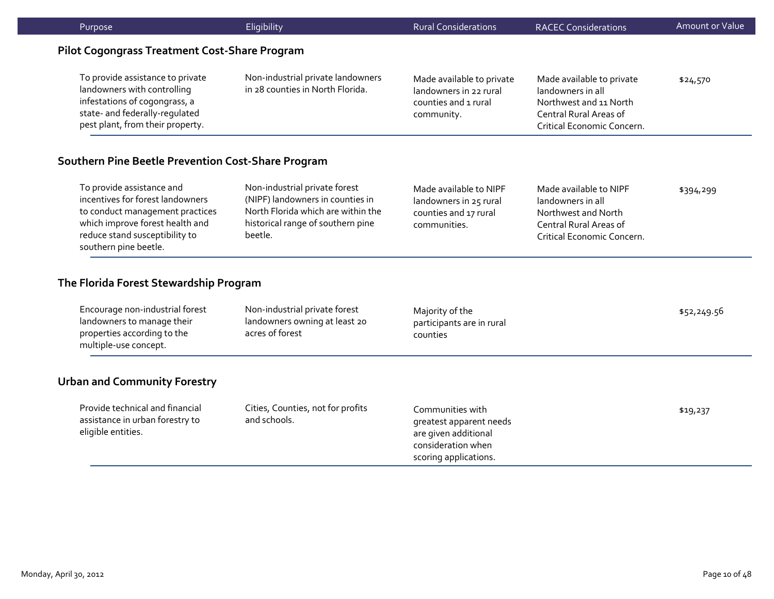| Purpose                                                                                                                                                                                        | Eligibility                                                                                                                                             | <b>Rural Considerations</b>                                                                                        | <b>RACEC Considerations</b>                                                                                                      | <b>Amount or Value</b> |  |  |
|------------------------------------------------------------------------------------------------------------------------------------------------------------------------------------------------|---------------------------------------------------------------------------------------------------------------------------------------------------------|--------------------------------------------------------------------------------------------------------------------|----------------------------------------------------------------------------------------------------------------------------------|------------------------|--|--|
|                                                                                                                                                                                                | <b>Pilot Cogongrass Treatment Cost-Share Program</b>                                                                                                    |                                                                                                                    |                                                                                                                                  |                        |  |  |
| To provide assistance to private<br>landowners with controlling<br>infestations of cogongrass, a<br>state- and federally-regulated<br>pest plant, from their property.                         | Non-industrial private landowners<br>in 28 counties in North Florida.                                                                                   | Made available to private<br>landowners in 22 rural<br>counties and 1 rural<br>community.                          | Made available to private<br>landowners in all<br>Northwest and 11 North<br>Central Rural Areas of<br>Critical Economic Concern. | \$24,570               |  |  |
| Southern Pine Beetle Prevention Cost-Share Program                                                                                                                                             |                                                                                                                                                         |                                                                                                                    |                                                                                                                                  |                        |  |  |
| To provide assistance and<br>incentives for forest landowners<br>to conduct management practices<br>which improve forest health and<br>reduce stand susceptibility to<br>southern pine beetle. | Non-industrial private forest<br>(NIPF) landowners in counties in<br>North Florida which are within the<br>historical range of southern pine<br>beetle. | Made available to NIPF<br>landowners in 25 rural<br>counties and 17 rural<br>communities.                          | Made available to NIPF<br>landowners in all<br>Northwest and North<br>Central Rural Areas of<br>Critical Economic Concern.       | \$394,299              |  |  |
| The Florida Forest Stewardship Program                                                                                                                                                         |                                                                                                                                                         |                                                                                                                    |                                                                                                                                  |                        |  |  |
| Encourage non-industrial forest<br>landowners to manage their<br>properties according to the<br>multiple-use concept.                                                                          | Non-industrial private forest<br>landowners owning at least 20<br>acres of forest                                                                       | Majority of the<br>participants are in rural<br>counties                                                           |                                                                                                                                  | \$52,249.56            |  |  |
| <b>Urban and Community Forestry</b>                                                                                                                                                            |                                                                                                                                                         |                                                                                                                    |                                                                                                                                  |                        |  |  |
| Provide technical and financial<br>assistance in urban forestry to<br>eligible entities.                                                                                                       | Cities, Counties, not for profits<br>and schools.                                                                                                       | Communities with<br>greatest apparent needs<br>are given additional<br>consideration when<br>scoring applications. |                                                                                                                                  | \$19,237               |  |  |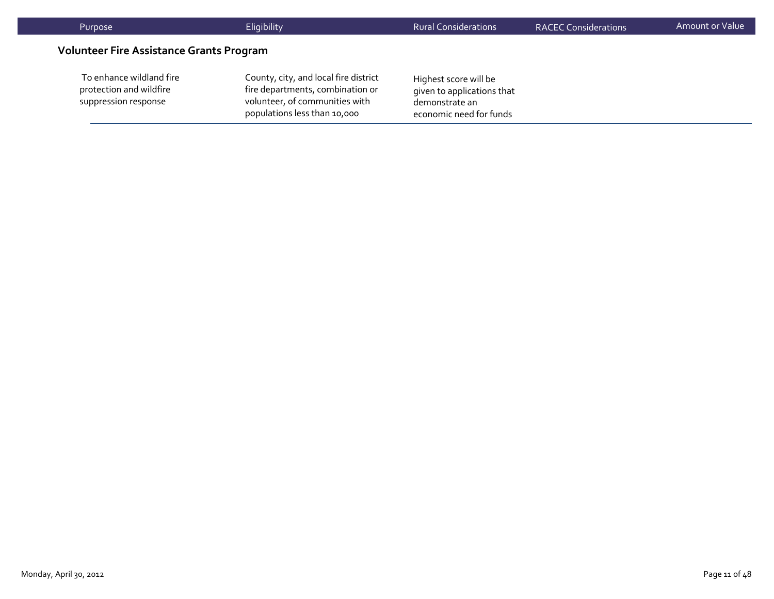| Purpose                                                                     | Eligibility                                                                                                                                 | <b>Rural Considerations</b>                                                                      | <b>RACEC Considerations</b> | <b>Amount or Value</b> |
|-----------------------------------------------------------------------------|---------------------------------------------------------------------------------------------------------------------------------------------|--------------------------------------------------------------------------------------------------|-----------------------------|------------------------|
| <b>Volunteer Fire Assistance Grants Program</b>                             |                                                                                                                                             |                                                                                                  |                             |                        |
| To enhance wildland fire<br>protection and wildfire<br>suppression response | County, city, and local fire district<br>fire departments, combination or<br>volunteer, of communities with<br>populations less than 10,000 | Highest score will be<br>given to applications that<br>demonstrate an<br>economic need for funds |                             |                        |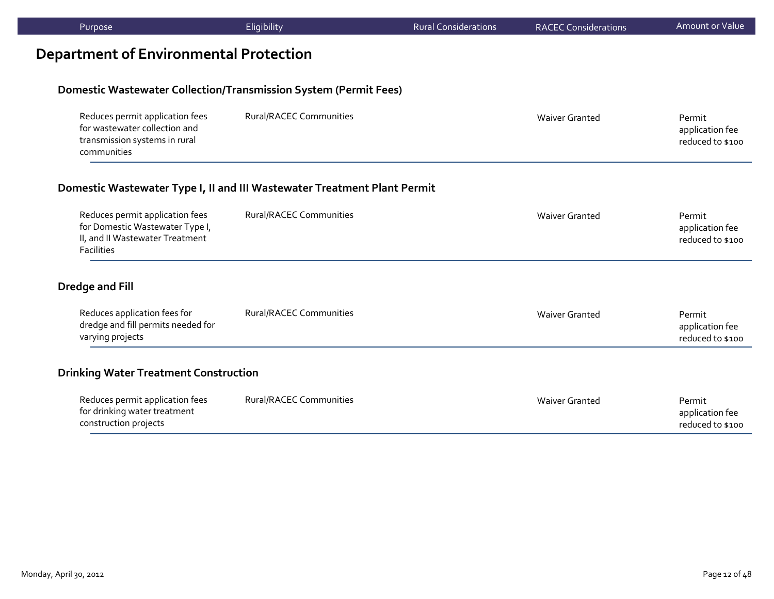| Purpose                                | Eligibility                                                             | <b>Rural Considerations</b> | <b>RACEC Considerations</b> | Amount or Value |
|----------------------------------------|-------------------------------------------------------------------------|-----------------------------|-----------------------------|-----------------|
| Department of Environmental Protection |                                                                         |                             |                             |                 |
|                                        | <b>Domestic Wastewater Collection/Transmission System (Permit Fees)</b> |                             |                             |                 |

| Reduces permit application fees | Rural/RACEC Communities | Waiver Granted | Permit           |
|---------------------------------|-------------------------|----------------|------------------|
| for wastewater collection and   |                         |                | application fee  |
| transmission systems in rural   |                         |                | reduced to \$100 |
| communities                     |                         |                |                  |

#### **Domestic Wastewater Type I, II and III Wastewater Treatment Plant Permit**

| Reduces permit application fees | Rural/RACEC Communities | Waiver Granted | Permit           |
|---------------------------------|-------------------------|----------------|------------------|
| for Domestic Wastewater Type I, |                         |                | application fee  |
| II, and II Wastewater Treatment |                         |                | reduced to \$100 |
| <b>Facilities</b>               |                         |                |                  |

# **Dredge and Fill**

| Reduces application fees for<br>dredge and fill permits needed for<br>varying projects | <b>Rural/RACEC Communities</b> | Waiver Granted | Permit<br>application fee<br>reduced to \$100 |
|----------------------------------------------------------------------------------------|--------------------------------|----------------|-----------------------------------------------|
|                                                                                        |                                |                |                                               |

### **Drinking Water Treatment Construction**

| Reduces permit application fees | Rural/RACEC Communities | Waiver Granted | Permit           |
|---------------------------------|-------------------------|----------------|------------------|
| for drinking water treatment    |                         |                | application fee  |
| construction projects           |                         |                | reduced to \$100 |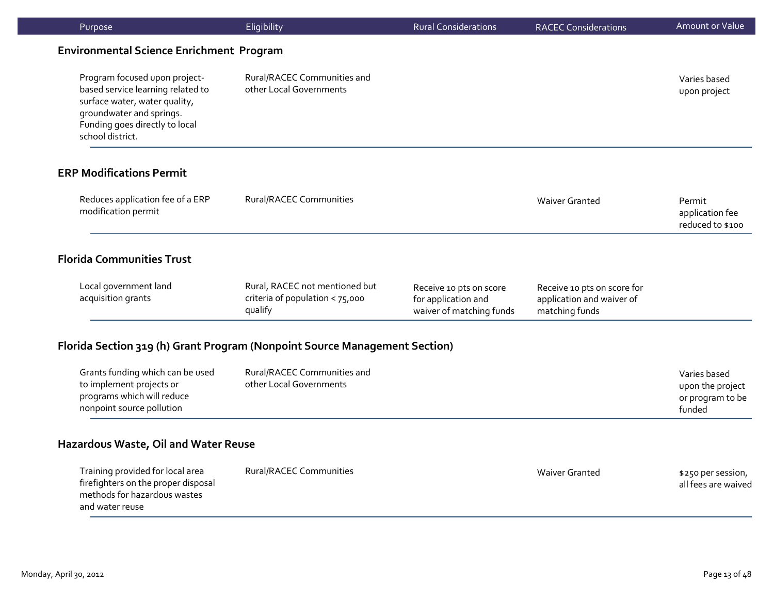| Purpose                                                                                                                                                                               | Eligibility                                                                  | <b>Rural Considerations</b>                                                | <b>RACEC Considerations</b>                                                | Amount or Value                                                |
|---------------------------------------------------------------------------------------------------------------------------------------------------------------------------------------|------------------------------------------------------------------------------|----------------------------------------------------------------------------|----------------------------------------------------------------------------|----------------------------------------------------------------|
| <b>Environmental Science Enrichment Program</b>                                                                                                                                       |                                                                              |                                                                            |                                                                            |                                                                |
| Program focused upon project-<br>based service learning related to<br>surface water, water quality,<br>groundwater and springs.<br>Funding goes directly to local<br>school district. | Rural/RACEC Communities and<br>other Local Governments                       |                                                                            |                                                                            | Varies based<br>upon project                                   |
| <b>ERP Modifications Permit</b>                                                                                                                                                       |                                                                              |                                                                            |                                                                            |                                                                |
| Reduces application fee of a ERP<br>modification permit                                                                                                                               | <b>Rural/RACEC Communities</b>                                               |                                                                            | <b>Waiver Granted</b>                                                      | Permit<br>application fee<br>reduced to \$100                  |
| <b>Florida Communities Trust</b>                                                                                                                                                      |                                                                              |                                                                            |                                                                            |                                                                |
| Local government land<br>acquisition grants                                                                                                                                           | Rural, RACEC not mentioned but<br>criteria of population < 75,000<br>qualify | Receive 10 pts on score<br>for application and<br>waiver of matching funds | Receive 10 pts on score for<br>application and waiver of<br>matching funds |                                                                |
| Florida Section 319 (h) Grant Program (Nonpoint Source Management Section)                                                                                                            |                                                                              |                                                                            |                                                                            |                                                                |
| Grants funding which can be used<br>to implement projects or<br>programs which will reduce<br>nonpoint source pollution                                                               | Rural/RACEC Communities and<br>other Local Governments                       |                                                                            |                                                                            | Varies based<br>upon the project<br>or program to be<br>funded |
| Hazardous Waste, Oil and Water Reuse                                                                                                                                                  |                                                                              |                                                                            |                                                                            |                                                                |
| Training provided for local area<br>firefighters on the proper disposal<br>methods for hazardous wastes<br>and water reuse                                                            | <b>Rural/RACEC Communities</b>                                               |                                                                            | <b>Waiver Granted</b>                                                      | \$250 per session,<br>all fees are waived                      |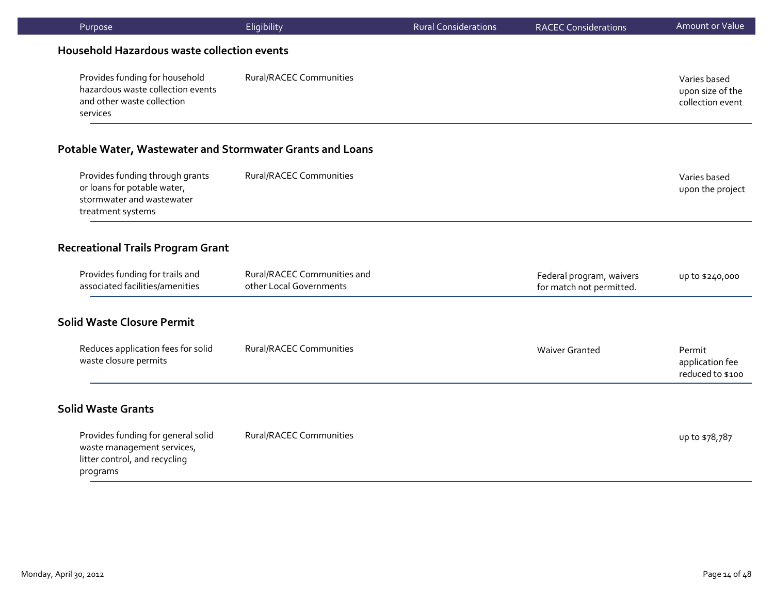| Purpose                                                                                                          | Eligibility                                            | <b>Rural Considerations</b> | <b>RACEC Considerations</b>                          | Amount or Value                                      |
|------------------------------------------------------------------------------------------------------------------|--------------------------------------------------------|-----------------------------|------------------------------------------------------|------------------------------------------------------|
| Household Hazardous waste collection events                                                                      |                                                        |                             |                                                      |                                                      |
| Provides funding for household<br>hazardous waste collection events<br>and other waste collection<br>services    | <b>Rural/RACEC Communities</b>                         |                             |                                                      | Varies based<br>upon size of the<br>collection event |
| Potable Water, Wastewater and Stormwater Grants and Loans                                                        |                                                        |                             |                                                      |                                                      |
| Provides funding through grants<br>or loans for potable water,<br>stormwater and wastewater<br>treatment systems | <b>Rural/RACEC Communities</b>                         |                             |                                                      | Varies based<br>upon the project                     |
| <b>Recreational Trails Program Grant</b>                                                                         |                                                        |                             |                                                      |                                                      |
| Provides funding for trails and<br>associated facilities/amenities                                               | Rural/RACEC Communities and<br>other Local Governments |                             | Federal program, waivers<br>for match not permitted. | up to \$240,000                                      |
| <b>Solid Waste Closure Permit</b>                                                                                |                                                        |                             |                                                      |                                                      |
| Reduces application fees for solid<br>waste closure permits                                                      | <b>Rural/RACEC Communities</b>                         |                             | <b>Waiver Granted</b>                                | Permit<br>application fee<br>reduced to \$100        |
| <b>Solid Waste Grants</b>                                                                                        |                                                        |                             |                                                      |                                                      |
| Provides funding for general solid<br>waste management services,<br>litter control, and recycling<br>programs    | <b>Rural/RACEC Communities</b>                         |                             |                                                      | up to \$78,787                                       |
|                                                                                                                  |                                                        |                             |                                                      |                                                      |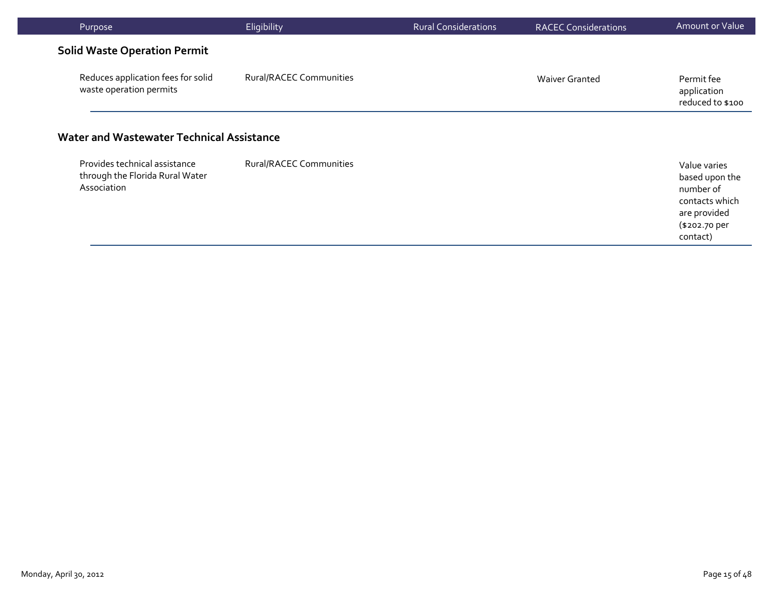| Purpose                                                                         | Eligibility                    | <b>Rural Considerations</b> | <b>RACEC Considerations</b> | Amount or Value                                                                                            |
|---------------------------------------------------------------------------------|--------------------------------|-----------------------------|-----------------------------|------------------------------------------------------------------------------------------------------------|
| <b>Solid Waste Operation Permit</b>                                             |                                |                             |                             |                                                                                                            |
| Reduces application fees for solid<br>waste operation permits                   | Rural/RACEC Communities        |                             | <b>Waiver Granted</b>       | Permit fee<br>application<br>reduced to \$100                                                              |
| Water and Wastewater Technical Assistance                                       |                                |                             |                             |                                                                                                            |
| Provides technical assistance<br>through the Florida Rural Water<br>Association | <b>Rural/RACEC Communities</b> |                             |                             | Value varies<br>based upon the<br>number of<br>contacts which<br>are provided<br>(\$202.70 per<br>contact) |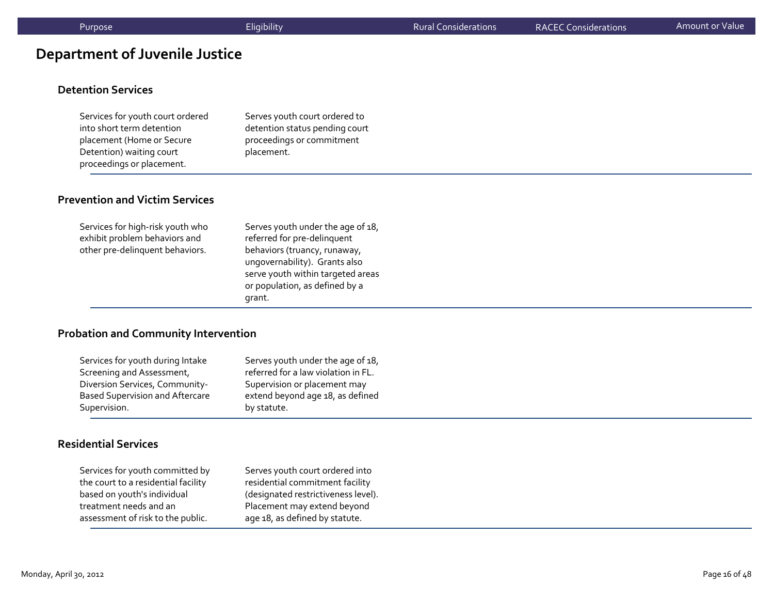# **Department of Juvenile Justice**

#### **Detention Services**

Services for youth court ordered into short term detention placement (Home or Secure Detention) waiting court proceedings or placement.

Serves youth court ordered to detention status pending court proceedings or commitment placement.

#### **Prevention and Victim Services**

| Services for high-risk youth who<br>exhibit problem behaviors and<br>other pre-delinquent behaviors. | Serves youth under the age of 18,<br>referred for pre-delinquent<br>behaviors (truancy, runaway,<br>ungovernability). Grants also<br>serve youth within targeted areas<br>or population, as defined by a |
|------------------------------------------------------------------------------------------------------|----------------------------------------------------------------------------------------------------------------------------------------------------------------------------------------------------------|
|                                                                                                      | grant.                                                                                                                                                                                                   |

#### **Probation and Community Intervention**

| Services for youth during Intake       | Serves youth under the age of 18,   |
|----------------------------------------|-------------------------------------|
| Screening and Assessment,              | referred for a law violation in FL. |
| Diversion Services, Community-         | Supervision or placement may        |
| <b>Based Supervision and Aftercare</b> | extend beyond age 18, as defined    |
| Supervision.                           | by statute.                         |

#### **Residential Services**

| Services for youth committed by     | Serves youth court ordered into     |
|-------------------------------------|-------------------------------------|
| the court to a residential facility | residential commitment facility     |
| based on youth's individual         | (designated restrictiveness level). |
| treatment needs and an              | Placement may extend beyond         |
| assessment of risk to the public.   | age 18, as defined by statute.      |
|                                     |                                     |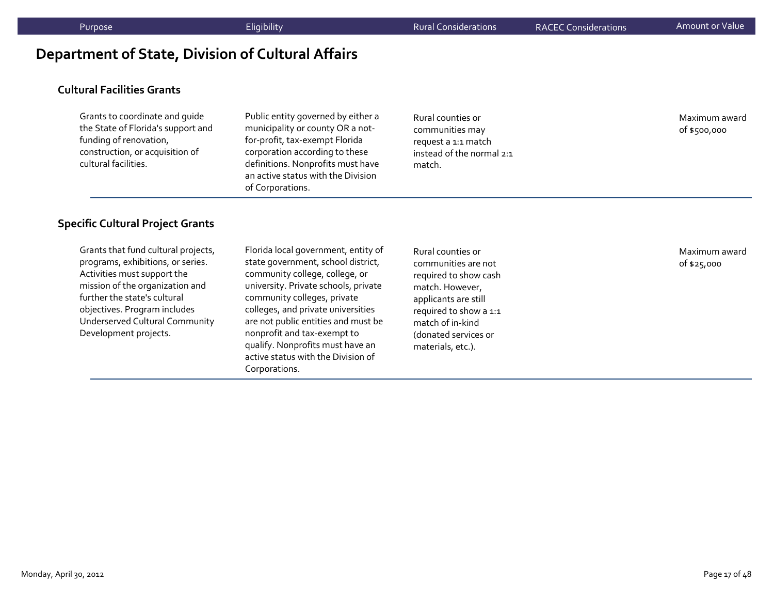# **Department of State, Division of Cultural Affairs**

#### **Cultural Facilities Grants**

Grants to coordinate and guide the State of Florida's suppor<sup>t</sup> and funding of renovation, construction, or acquisition of cultural facilities.

Public entity governed by either <sup>a</sup> municipality or county OR <sup>a</sup> not‐ for‐profit, tax‐exemp<sup>t</sup> Florida corporation according to these definitions. Nonprofits must have an active status with the Division of Corporations.

Rural counties or communities may reques<sup>t</sup> <sup>a</sup> 1:1 match instead of the normal 2:1 match.

Maximum award of \$500,000

#### **Specific Cultural Project Grants**

Grants that fund cultural projects, programs, exhibitions, or series. Activities must suppor<sup>t</sup> the mission of the organization and further the state's cultural objectives. Program includes Underserved Cultural Community Development projects.

Florida local government, entity of state government, school district, community college, college, or university. Private schools, private community colleges, private colleges, and private universities are not public entities and must be nonprofit and tax‐exemp<sup>t</sup> to qualify. Nonprofits must have an active status with the Division of Corporations.

Rural counties or communities are not required to show cash match. However, applicants are still required to show <sup>a</sup> 1:1 match of in‐kind(donated services or materials, etc.).

Maximum award of \$25,000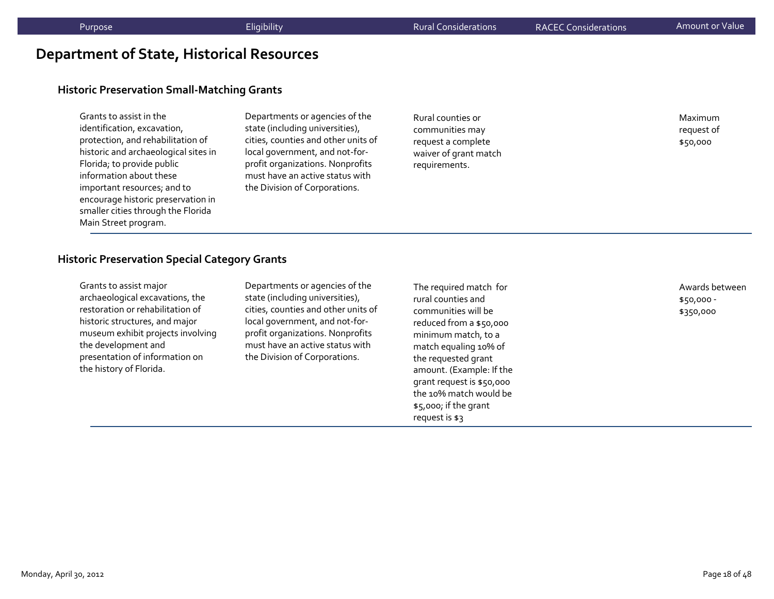# **Department of State, Historical Resources**

#### **Historic Preservation Small‐Matching Grants**

Grants to assist in the identification, excavation, protection, and rehabilitation of historic and archaeological sites in Florida; to provide public information about these important resources; and to encourage historic preservation in smaller cities through the Florida Main Street program.

Departments or agencies of the state (including universities), cities, counties and other units of local government, and not‐for‐ profit organizations. Nonprofits must have an active status withthe Division of Corporations.

Rural counties or communities may reques<sup>t</sup> <sup>a</sup> complete waiver of gran<sup>t</sup> match requirements.

Maximumreques<sup>t</sup> of \$50,000

#### **Historic Preservation Special Category Grants**

| Grants to assist major            |
|-----------------------------------|
| archaeological excavations, the   |
| restoration or rehabilitation of  |
| historic structures, and major    |
| museum exhibit projects involving |
| the development and               |
| presentation of information on    |
| the history of Florida.           |

Departments or agencies of the state (including universities), cities, counties and other units of local government, and not‐for‐ profit organizations. Nonprofits must have an active status with the Division of Corporations.

The required match for rural counties andcommunities will bereduced from <sup>a</sup> \$50,000 minimum match, to <sup>a</sup> match equaling 10% of the requested gran<sup>t</sup> amount. (Example: If the gran<sup>t</sup> reques<sup>t</sup> is \$50,000 the 10% match would be \$5,000; if the gran<sup>t</sup> reques<sup>t</sup> is \$3

Awards between\$50,000 ‐ \$350,000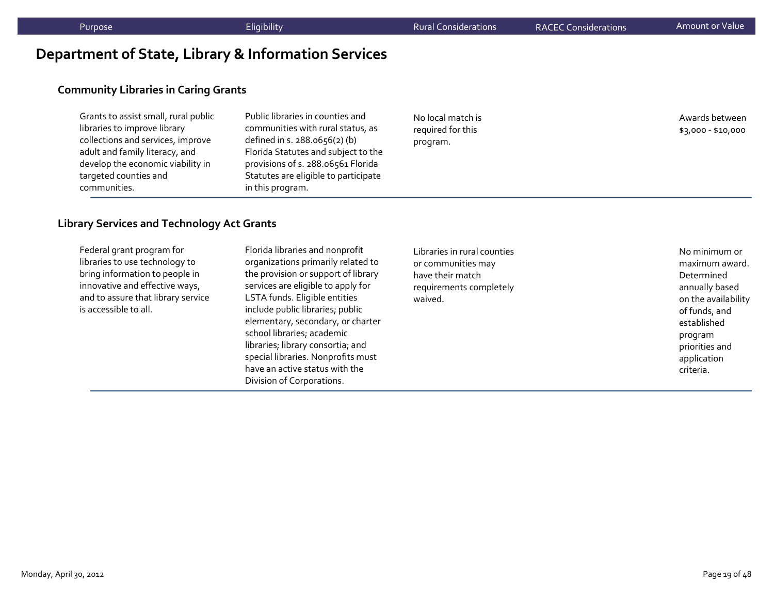# **Department of State, Library & Information Services**

### **Community Libraries in Caring Grants**

| Grants to assist small, rural public | Ρı |
|--------------------------------------|----|
| libraries to improve library         | CO |
| collections and services, improve    | de |
| adult and family literacy, and       | Fk |
| develop the economic viability in    | pr |
| targeted counties and                | St |
| communities.                         | in |
|                                      |    |

Public libraries in counties andcommunities with rural status, as defined in s. 288.0656(2) (b) Florida Statutes and subject to the rovisions of s. 288.06561 Florida Statutes are eligible to participate this program.

No local match is required for this program.

Awards between\$3,000 ‐ \$10,000

#### **Library Services and Technology Act Grants**

Federal gran<sup>t</sup> program for libraries to use technology to bring information to people in innovative and effective ways, and to assure that library service is accessible to all.

Florida libraries and nonprofit organizations primarily related to the provision or suppor<sup>t</sup> of library services are eligible to apply for LSTA funds. Eligible entities include public libraries; public elementary, secondary, or charter school libraries; academic libraries; library consortia; and special libraries. Nonprofits must have an active status with the Division of Corporations.

Libraries in rural counties or communities may have their matchrequirements completely waived.

No minimum or maximum award. Determinedannually based on the availability of funds, and establishedprogram priorities and application criteria.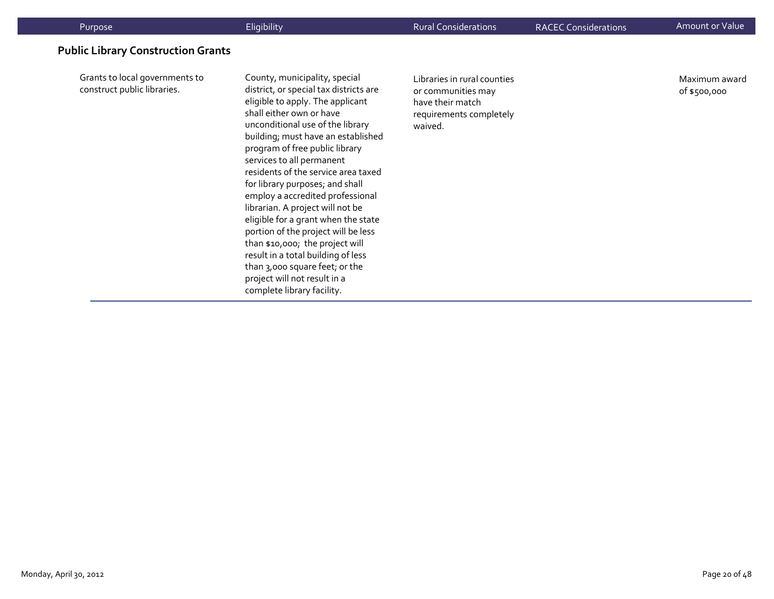| Purpose                                                       | Eligibility                                                                                                                                                                                                                                                                                                                                                                                                                                                                                                                                                                                                                                                                               | <b>Rural Considerations</b>                                                                                 | <b>RACEC Considerations</b> | Amount or Value               |
|---------------------------------------------------------------|-------------------------------------------------------------------------------------------------------------------------------------------------------------------------------------------------------------------------------------------------------------------------------------------------------------------------------------------------------------------------------------------------------------------------------------------------------------------------------------------------------------------------------------------------------------------------------------------------------------------------------------------------------------------------------------------|-------------------------------------------------------------------------------------------------------------|-----------------------------|-------------------------------|
| <b>Public Library Construction Grants</b>                     |                                                                                                                                                                                                                                                                                                                                                                                                                                                                                                                                                                                                                                                                                           |                                                                                                             |                             |                               |
| Grants to local governments to<br>construct public libraries. | County, municipality, special<br>district, or special tax districts are<br>eligible to apply. The applicant<br>shall either own or have<br>unconditional use of the library<br>building; must have an established<br>program of free public library<br>services to all permanent<br>residents of the service area taxed<br>for library purposes; and shall<br>employ a accredited professional<br>librarian. A project will not be<br>eligible for a grant when the state<br>portion of the project will be less<br>than \$10,000; the project will<br>result in a total building of less<br>than 3,000 square feet; or the<br>project will not result in a<br>complete library facility. | Libraries in rural counties<br>or communities may<br>have their match<br>requirements completely<br>waived. |                             | Maximum award<br>of \$500,000 |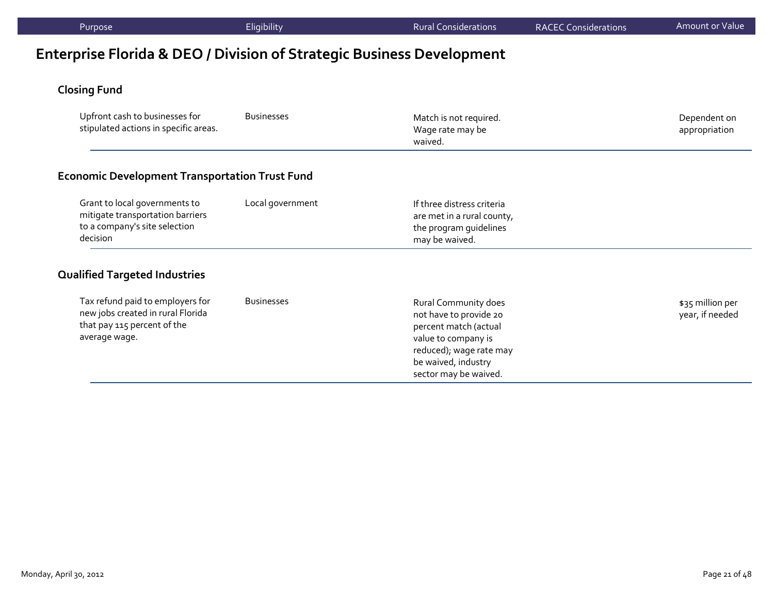# **Enterprise Florida & DEO / Division of Strategic Business Development**

# **Closing Fund**

| Upfront cash to businesses for<br>stipulated actions in specific areas.                                               | <b>Businesses</b> | Match is not required.<br>Wage rate may be<br>waived.                                                                                                                     | Dependent on<br>appropriation       |
|-----------------------------------------------------------------------------------------------------------------------|-------------------|---------------------------------------------------------------------------------------------------------------------------------------------------------------------------|-------------------------------------|
| <b>Economic Development Transportation Trust Fund</b>                                                                 |                   |                                                                                                                                                                           |                                     |
| Grant to local governments to<br>mitigate transportation barriers<br>to a company's site selection<br>decision        | Local government  | If three distress criteria<br>are met in a rural county,<br>the program guidelines<br>may be waived.                                                                      |                                     |
| <b>Qualified Targeted Industries</b>                                                                                  |                   |                                                                                                                                                                           |                                     |
| Tax refund paid to employers for<br>new jobs created in rural Florida<br>that pay 115 percent of the<br>average wage. | <b>Businesses</b> | Rural Community does<br>not have to provide 20<br>percent match (actual<br>value to company is<br>reduced); wage rate may<br>be waived, industry<br>sector may be waived. | \$35 million per<br>year, if needed |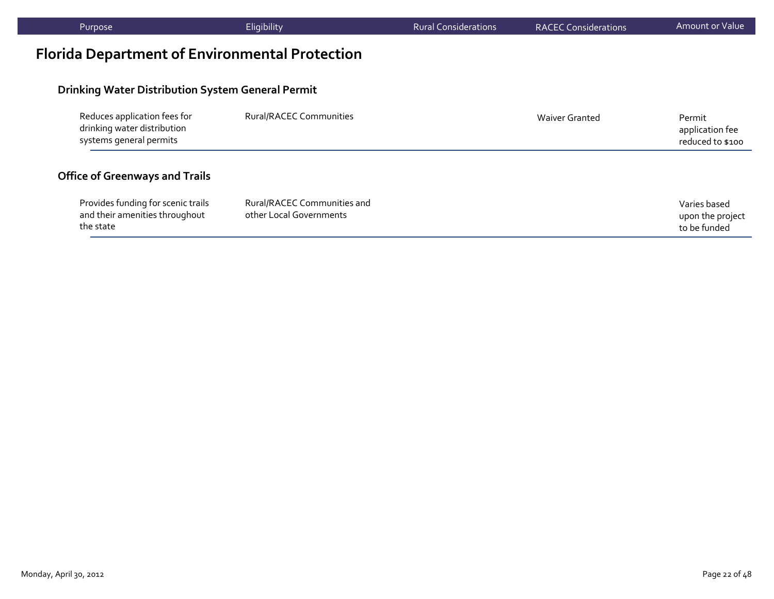| Purpose                                                                                | Eligibility                                            | <b>Rural Considerations</b> | <b>RACEC Considerations</b> | Amount or Value                                  |
|----------------------------------------------------------------------------------------|--------------------------------------------------------|-----------------------------|-----------------------------|--------------------------------------------------|
| <b>Florida Department of Environmental Protection</b>                                  |                                                        |                             |                             |                                                  |
| <b>Drinking Water Distribution System General Permit</b>                               |                                                        |                             |                             |                                                  |
| Reduces application fees for<br>drinking water distribution<br>systems general permits | Rural/RACEC Communities                                |                             | <b>Waiver Granted</b>       | Permit<br>application fee<br>reduced to \$100    |
| <b>Office of Greenways and Trails</b>                                                  |                                                        |                             |                             |                                                  |
| Provides funding for scenic trails<br>and their amenities throughout<br>the state      | Rural/RACEC Communities and<br>other Local Governments |                             |                             | Varies based<br>upon the project<br>to be funded |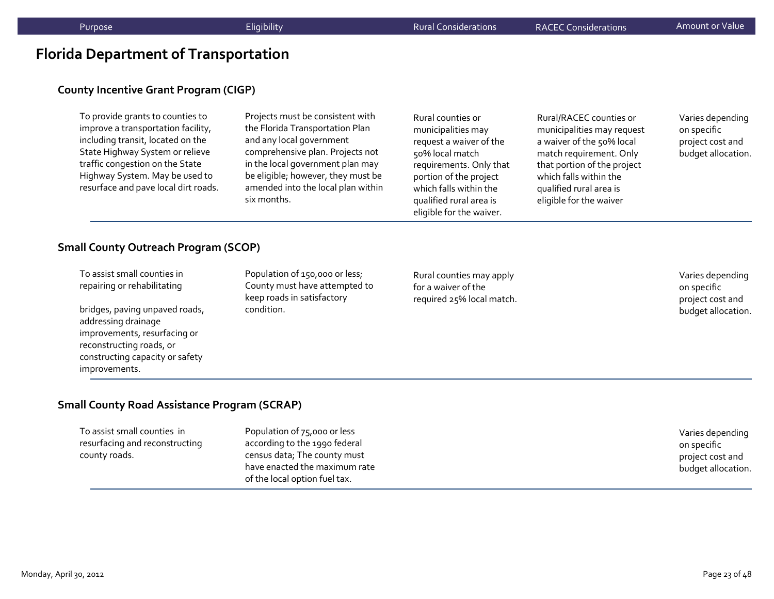## **Florida Department of Transportation**

#### **County Incentive Grant Program (CIGP)**

To provide grants to counties to improve <sup>a</sup> transportation facility, including transit, located on the State Highway System or relieve traffic congestion on the State Highway System. May be used to resurface and pave local dirt roads.

Projects must be consistent with the Florida Transportation Plan and any local governmen<sup>t</sup> comprehensive plan. Projects not in the local governmen<sup>t</sup> plan may be eligible; however, they must be amended into the local plan within six months.

Rural counties or municipalities may reques<sup>t</sup> <sup>a</sup> waiver of the 50% local match requirements. Only that portion of the project which falls within the qualified rural area is eligible for the waiver.

Rural/RACEC counties or municipalities may reques<sup>t</sup> a waiver of the 50% local match requirement. Only that portion of the project which falls within the qualified rural area is eligible for the waiver

Varies depending on specific project cost and budget allocation.

#### **Small County Outreach Program (SCOP)**

To assist small counties in repairing or rehabilitating

bridges, paving unpaved roads, addressing drainage improvements, resurfacing or reconstructing roads, or constructing capacity or safety improvements.

Population of 150,000 or less; County must have attempted to keep roads in satisfactory condition.

Rural counties may apply for a waiver of therequired 25% local match.

Varies depending on specific project cost and budget allocation.

#### **Small County Road Assistance Program (SCRAP)**

To assist small counties in resurfacing and reconstructing county roads.

Population of 75,000 or less according to the 1990 federal census data; The county must have enacted the maximum rate of the local option fuel tax.

Varies depending on specific project cost and budget allocation.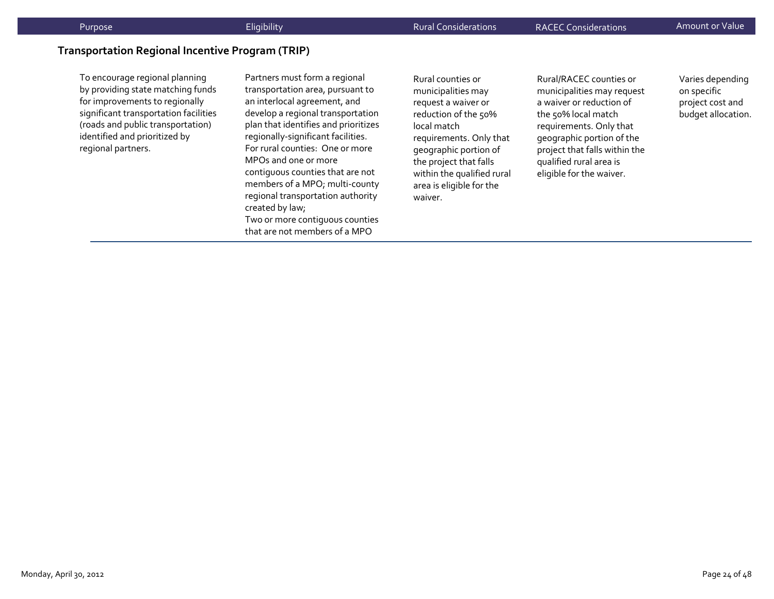#### **Transportation Regional Incentive Program (TRIP)**

To encourage regional planning by providing state matching funds for improvements to regionally significant transportation facilities (roads and public transportation) identified and prioritized by regional partners.

Partners must form <sup>a</sup> regional transportation area, pursuan<sup>t</sup> to an interlocal agreement, and develop <sup>a</sup> regional transportation plan that identifies and prioritizes regionally‐significant facilities. For rural counties: One or more MPOs and one or more contiguous counties that are not members of <sup>a</sup> MPO; multi‐county regional transportation authority created by law; Two or more contiguous counties that are not members of <sup>a</sup> MPO

Rural counties or municipalities may reques<sup>t</sup> <sup>a</sup> waiver or reduction of the 50% local matchrequirements. Only that geographic portion of the project that falls within the qualified rural area is eligible for the waiver.

Rural/RACEC counties or municipalities may reques<sup>t</sup> a waiver or reduction of the 50% local match requirements. Only that geographic portion of the project that falls within the qualified rural area is eligible for the waiver.

Varies depending on specific project cost and budget allocation.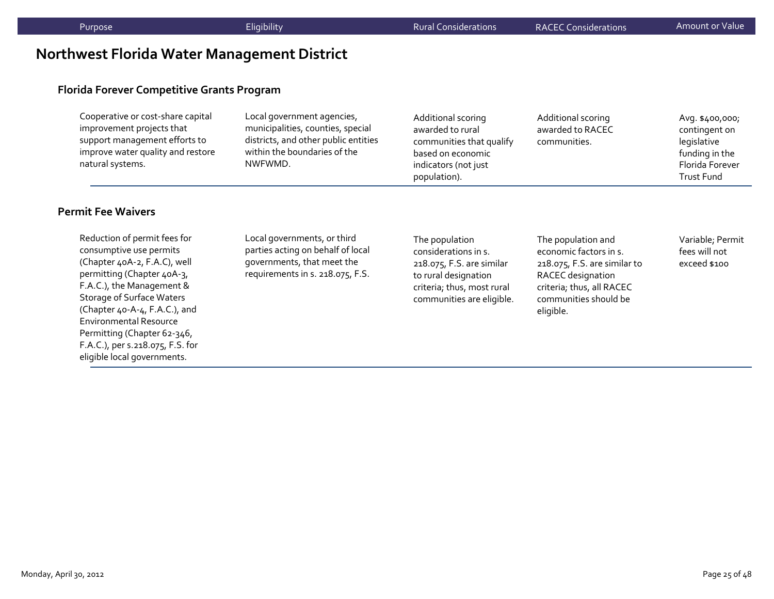# **Northwest Florida Water Management District**

#### **Florida Forever Competitive Grants Program**

| Cooperative or cost-share capital<br>Local government agencies,<br>municipalities, counties, special<br>improvement projects that<br>districts, and other public entities<br>support management efforts to<br>within the boundaries of the<br>improve water quality and restore<br>natural systems.<br>NWFWMD. | Additional scoring<br>awarded to rural<br>communities that qualify<br>based on economic<br>indicators (not just<br>population). | Additional scoring<br>awarded to RACEC<br>communities. | Avg. \$400,000;<br>contingent on<br>legislative<br>funding in the<br>Florida Forever<br><b>Trust Fund</b> |
|----------------------------------------------------------------------------------------------------------------------------------------------------------------------------------------------------------------------------------------------------------------------------------------------------------------|---------------------------------------------------------------------------------------------------------------------------------|--------------------------------------------------------|-----------------------------------------------------------------------------------------------------------|
|----------------------------------------------------------------------------------------------------------------------------------------------------------------------------------------------------------------------------------------------------------------------------------------------------------------|---------------------------------------------------------------------------------------------------------------------------------|--------------------------------------------------------|-----------------------------------------------------------------------------------------------------------|

#### **Permit Fee Waivers**

Reduction of permit fees for consumptive use permits (Chapter 40A‐2, F.A.C), well permitting (Chapter 40A-3, F.A.C.), the Management & Storage of Surface Waters (Chapter 40‐A‐4, F.A.C.), and Environmental ResourcePermitting (Chapter 62‐346, F.A.C.), per s.218.075, F.S. for eligible local governments.

Local governments, or third parties acting on behalf of local governments, that meet the requirements in s. 218.075, F.S.

The population considerations in s. 218.075, F.S. are similar to rural designation criteria; thus, most rural communities are eligible.

The population and economic factors in s. 218.075, F.S. are similar to RACEC designation criteria; thus, all RACEC communities should be eligible.

Variable; Permit fees will not exceed \$100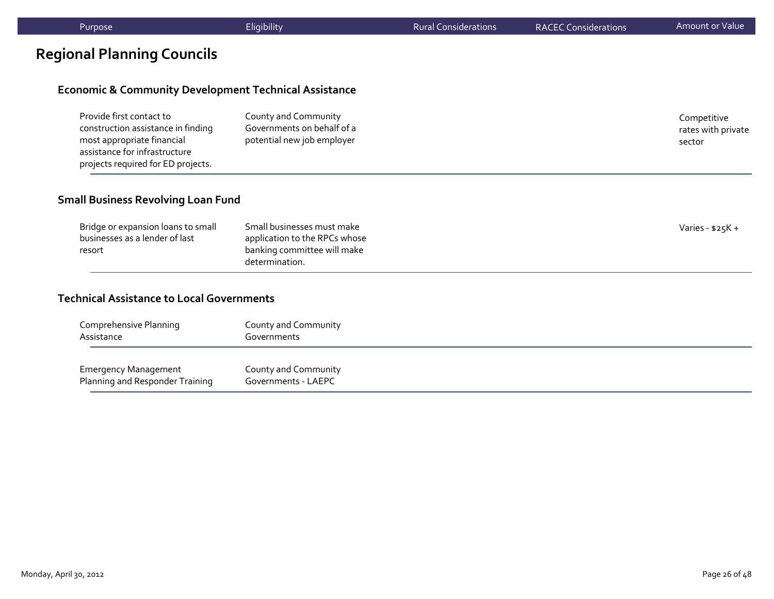# **Regional Planning Councils**

#### **Economic & Community Development Technical Assistance**

| Provide first contact to                                            | County and Community       | Competitive        |
|---------------------------------------------------------------------|----------------------------|--------------------|
| construction assistance in finding                                  | Governments on behalf of a | rates with private |
| most appropriate financial                                          | potential new job employer | sector             |
| assistance for infrastructure<br>projects required for ED projects. |                            |                    |

#### **Small Business Revolving Loan Fund**

| Bridge or expansion loans to small<br>businesses as a lender of last<br>resort | Small businesses must make<br>application to the RPCs whose<br>banking committee will make<br>determination. | Varies - $$25K +$ |
|--------------------------------------------------------------------------------|--------------------------------------------------------------------------------------------------------------|-------------------|
|--------------------------------------------------------------------------------|--------------------------------------------------------------------------------------------------------------|-------------------|

#### **Technical Assistance to Local Governments**

| Comprehensive Planning          | County and Community |
|---------------------------------|----------------------|
| Assistance                      | Governments          |
| <b>Emergency Management</b>     | County and Community |
| Planning and Responder Training | Governments - LAEPC  |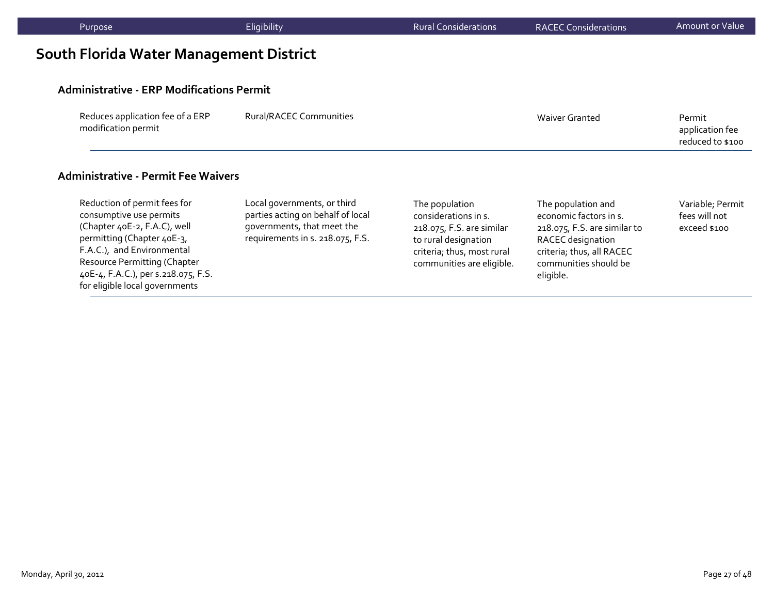| Purpose                                                 | Eligibility                                                      | <b>Rural Considerations</b>            | <b>RACEC Considerations</b>                                                  | Amount or Value                               |
|---------------------------------------------------------|------------------------------------------------------------------|----------------------------------------|------------------------------------------------------------------------------|-----------------------------------------------|
| South Florida Water Management District                 |                                                                  |                                        |                                                                              |                                               |
| <b>Administrative - ERP Modifications Permit</b>        |                                                                  |                                        |                                                                              |                                               |
| Reduces application fee of a ERP<br>modification permit | <b>Rural/RACEC Communities</b>                                   |                                        | <b>Waiver Granted</b>                                                        | Permit<br>application fee<br>reduced to \$100 |
| <b>Administrative - Permit Fee Waivers</b>              |                                                                  |                                        |                                                                              |                                               |
| Reduction of permit fees for<br>consumptive use permits | Local governments, or third<br>parties acting on behalf of local | The population<br>considerations in s. | The population and<br>economic factors in s.<br>218.075, F.S. are similar to | Variable; Permit<br>fees will not             |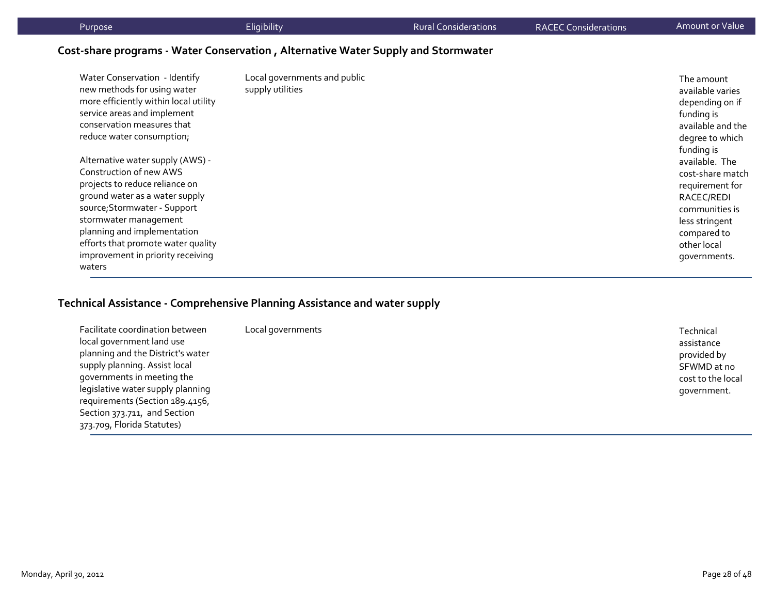| Purpose                                                                                                                                                                                         | Eligibility                                      | <b>Rural Considerations</b> | <b>RACEC Considerations</b> | Amount or Value '                                                                                                     |
|-------------------------------------------------------------------------------------------------------------------------------------------------------------------------------------------------|--------------------------------------------------|-----------------------------|-----------------------------|-----------------------------------------------------------------------------------------------------------------------|
| Cost-share programs - Water Conservation, Alternative Water Supply and Stormwater                                                                                                               |                                                  |                             |                             |                                                                                                                       |
| Water Conservation - Identify<br>new methods for using water<br>more efficiently within local utility<br>service areas and implement<br>conservation measures that<br>reduce water consumption; | Local governments and public<br>supply utilities |                             |                             | The amount<br>available varies<br>depending on if<br>funding is<br>available and the<br>degree to which<br>funding is |
| Alternative water supply (AWS) -<br>Construction of new AWS<br>projects to reduce reliance on<br>ground water as a water supply<br>source; Stormwater - Support                                 |                                                  |                             |                             | available. The<br>cost-share match<br>requirement for<br>RACEC/REDI<br>communities is                                 |

# **Technical Assistance ‐ Comprehensive Planning Assistance and water supply**

stormwater management planning and implementation efforts that promote water quality improvement in priority receiving

waters

| Facilitate coordination between<br>local government land use<br>planning and the District's water<br>supply planning. Assist local<br>governments in meeting the<br>legislative water supply planning<br>requirements (Section 189.4156,<br>Section 373.711, and Section<br>373.709, Florida Statutes) | Local governments | Technical<br>assistance<br>provided by<br>SFWMD at no<br>cost to the local<br>government. |
|--------------------------------------------------------------------------------------------------------------------------------------------------------------------------------------------------------------------------------------------------------------------------------------------------------|-------------------|-------------------------------------------------------------------------------------------|
|--------------------------------------------------------------------------------------------------------------------------------------------------------------------------------------------------------------------------------------------------------------------------------------------------------|-------------------|-------------------------------------------------------------------------------------------|

less stringent compared to other local governments.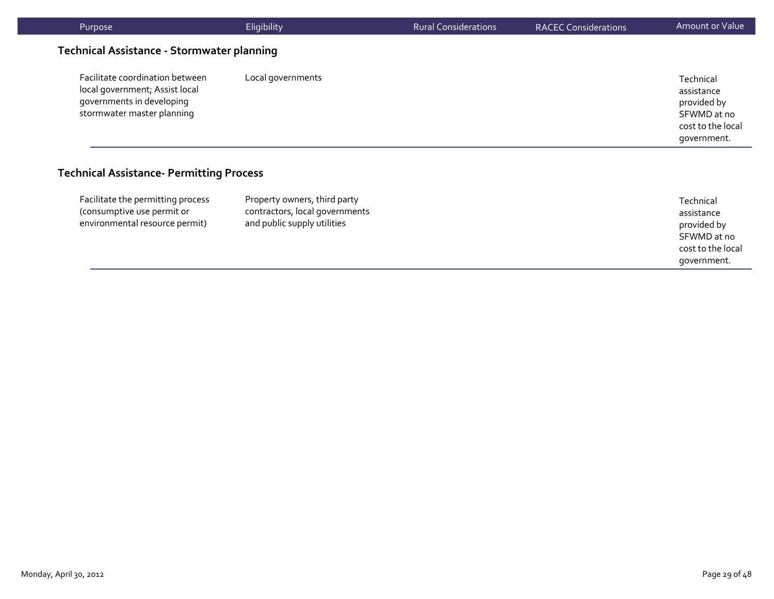| Purpose                                                                                                                      | Eligibility       | <b>Rural Considerations</b> | <b>RACEC Considerations</b> | Amount or Value                                                                           |
|------------------------------------------------------------------------------------------------------------------------------|-------------------|-----------------------------|-----------------------------|-------------------------------------------------------------------------------------------|
| <b>Technical Assistance - Stormwater planning</b>                                                                            |                   |                             |                             |                                                                                           |
| Facilitate coordination between<br>local government; Assist local<br>governments in developing<br>stormwater master planning | Local governments |                             |                             | Technical<br>assistance<br>provided by<br>SFWMD at no<br>cost to the local<br>qovernment. |
| $\sim$ $\sim$ $\sim$ $\sim$ $\sim$ $\sim$<br>.                                                                               | $\sim$            |                             |                             |                                                                                           |

#### **Technical Assistance‐ Permitting Process**

| Facilitate the permitting process<br>(consumptive use permit or<br>environmental resource permit) | Property owners, third party<br>contractors, local governments<br>and public supply utilities | Technical<br>assistance<br>provided by<br>SFWMD at no<br>cost to the local<br>government. |
|---------------------------------------------------------------------------------------------------|-----------------------------------------------------------------------------------------------|-------------------------------------------------------------------------------------------|
|---------------------------------------------------------------------------------------------------|-----------------------------------------------------------------------------------------------|-------------------------------------------------------------------------------------------|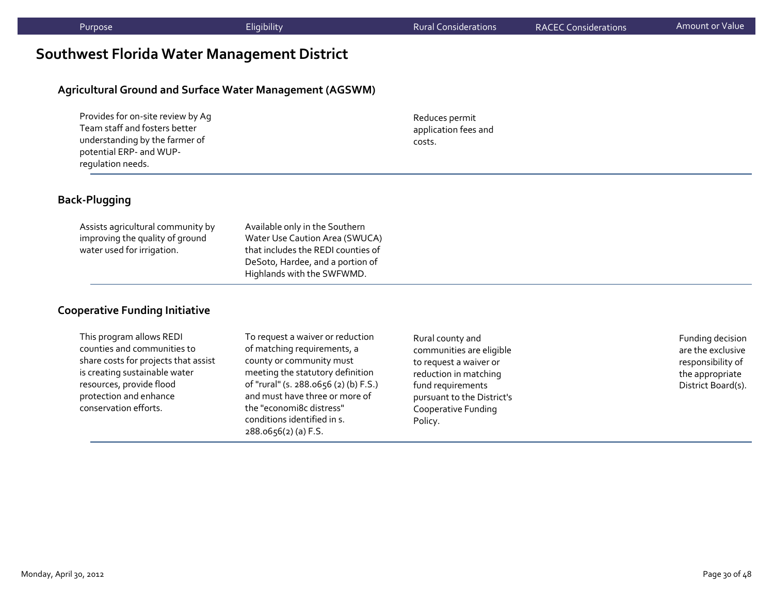# **Southwest Florida Water Management District**

#### **Agricultural Ground and Surface Water Management (AGSWM)**

| Provides for on-site review by Aq |
|-----------------------------------|
| Team staff and fosters better     |
| understanding by the farmer of    |
| potential ERP- and WUP-           |
| requlation needs.                 |

Reduces permit application fees and costs.

#### **Back‐Plugging**

| Available only in the Southern     |
|------------------------------------|
| Water Use Caution Area (SWUCA)     |
| that includes the REDI counties of |
| DeSoto, Hardee, and a portion of   |
| Highlands with the SWFWMD.         |
|                                    |

#### **Cooperative Funding Initiative**

This program allows REDI counties and communities to share costs for projects that assist is creating sustainable water resources, provide flood protection and enhance conservation efforts.

To reques<sup>t</sup> <sup>a</sup> waiver or reduction of matching requirements, <sup>a</sup> county or community must meeting the statutory definition of "rural" (s. 288.0656 (2) (b) F.S.) and must have three or more of the "economi8c distress" conditions identified in s. 288.0656(2) (a) F.S.

Rural county and communities are eligible to reques<sup>t</sup> <sup>a</sup> waiver or reduction in matching fund requirements pursuan<sup>t</sup> to the District's Cooperative Funding Policy.

Funding decision are the exclusive responsibility of the appropriate District Board(s).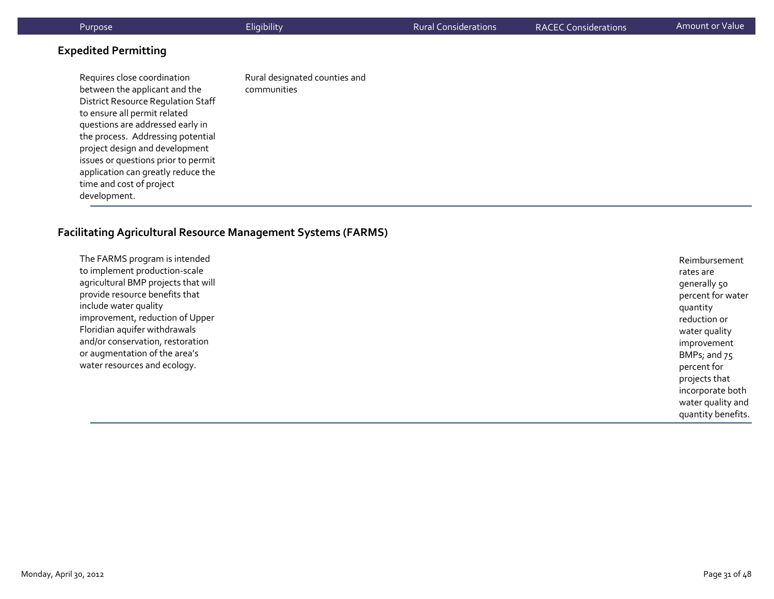| Purpose                                                                                                                                                                                                                                                                                                                                                                       | Eligibility                                  | <b>Rural Considerations</b> | <b>RACEC Considerations</b> | Amount or Value |
|-------------------------------------------------------------------------------------------------------------------------------------------------------------------------------------------------------------------------------------------------------------------------------------------------------------------------------------------------------------------------------|----------------------------------------------|-----------------------------|-----------------------------|-----------------|
| <b>Expedited Permitting</b>                                                                                                                                                                                                                                                                                                                                                   |                                              |                             |                             |                 |
| Requires close coordination<br>between the applicant and the<br><b>District Resource Regulation Staff</b><br>to ensure all permit related<br>questions are addressed early in<br>the process. Addressing potential<br>project design and development<br>issues or questions prior to permit<br>application can greatly reduce the<br>time and cost of project<br>development. | Rural designated counties and<br>communities |                             |                             |                 |

#### **Facilitating Agricultural Resource Management Systems (FARMS)**

The FARMS program is intended to implement production‐scale agricultural BMP projects that will provide resource benefits that include water quality improvement, reduction of Upper Floridian aquifer withdrawals and/or conservation, restoration or augmentation of the area's water resources and ecology. Reimbursementrates aregenerally 50 percen<sup>t</sup> for water quantity reduction or water quality improvement BMPs; and 75 percen<sup>t</sup> for projects that incorporate both water quality and quantity benefits.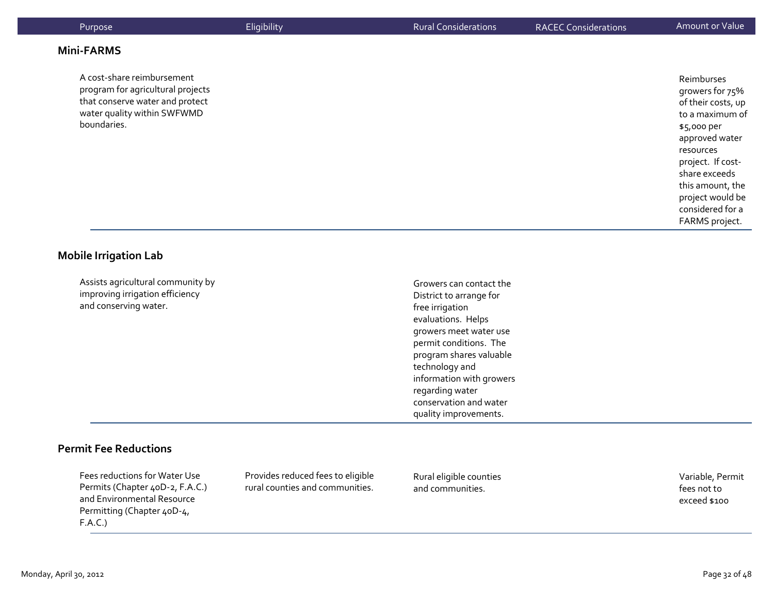| <b>Mini-FARMS</b><br>A cost-share reimbursement<br>Reimburses<br>program for agricultural projects<br>growers for 75%<br>that conserve water and protect<br>of their costs, up<br>water quality within SWFWMD<br>to a maximum of<br>boundaries.<br>\$5,000 per<br>approved water<br>resources<br>project. If cost-<br>share exceeds<br>this amount, the<br>project would be<br>considered for a<br>FARMS project. | Purpose | Eligibility | <b>Rural Considerations</b> | <b>RACEC Considerations</b> | Amount or Value |
|-------------------------------------------------------------------------------------------------------------------------------------------------------------------------------------------------------------------------------------------------------------------------------------------------------------------------------------------------------------------------------------------------------------------|---------|-------------|-----------------------------|-----------------------------|-----------------|
|                                                                                                                                                                                                                                                                                                                                                                                                                   |         |             |                             |                             |                 |
|                                                                                                                                                                                                                                                                                                                                                                                                                   |         |             |                             |                             |                 |

#### **Mobile Irrigation Lab**

Assists agricultural community by improving irrigation efficiency and conserving water.

Growers can contact the District to arrange for free irrigation evaluations. Helps growers meet water use permit conditions. The program shares valuable technology and information with growers regarding water conservation and water quality improvements.

#### **Permit Fee Reductions**

Fees reductions for Water Use Permits (Chapter 40D‐2, F.A.C.) and Environmental Resource Permitting (Chapter 40D‐4, F.A.C.)

Provides reduced fees to eligible rural counties and communities.

Rural eligible counties and communities.

Variable, Permit fees not toexceed \$100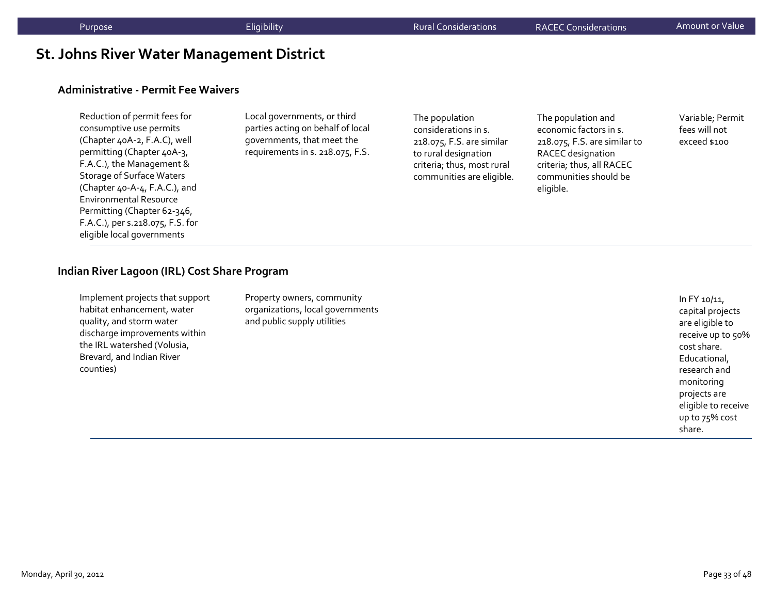# **St. Johns River Water Management District**

#### **Administrative ‐ Permit Fee Waivers**

| Reduction of permit fees for     |
|----------------------------------|
| consumptive use permits          |
| (Chapter 40A-2, F.A.C), well     |
| permitting (Chapter 40A-3,       |
| F.A.C.), the Management &        |
| <b>Storage of Surface Waters</b> |
| (Chapter 40-A-4, F.A.C.), and    |
| <b>Environmental Resource</b>    |
| Permitting (Chapter 62-346,      |
| F.A.C.), per s.218.075, F.S. for |
| eligible local governments       |

Local governments, or third parties acting on behalf of local governments, that meet the requirements in s. 218.075, F.S.

The population considerations in s. 218.075, F.S. are similar to rural designation criteria; thus, most rural communities are eligible.

The population and economic factors in s. 218.075, F.S. are similar to RACEC designation criteria; thus, all RACEC communities should be eligible.

Variable; Permit fees will not exceed \$100

#### **Indian River Lagoon (IRL) Cost Share Program**

| Implement projects that support | Proper  |
|---------------------------------|---------|
| habitat enhancement, water      | organiz |
| quality, and storm water        | and pul |
| discharge improvements within   |         |
| the IRL watershed (Volusia,     |         |
| Brevard, and Indian River       |         |
| counties)                       |         |
|                                 |         |

ty owners, community zations, local governments blic supply utilities

In FY 10/11, capital projects are eligible to receive up to 50% cost share. Educational, research andmonitoring projects are eligible to receive up to 75% cost share.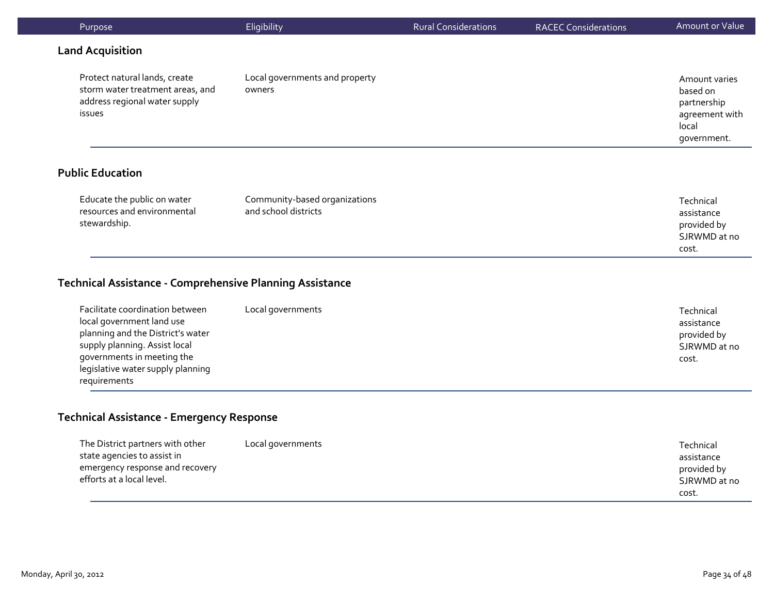| Purpose                                                                                                                                                  | Eligibility                                           | <b>Rural Considerations</b> | <b>RACEC Considerations</b> | Amount or Value                                                                    |
|----------------------------------------------------------------------------------------------------------------------------------------------------------|-------------------------------------------------------|-----------------------------|-----------------------------|------------------------------------------------------------------------------------|
| <b>Land Acquisition</b>                                                                                                                                  |                                                       |                             |                             |                                                                                    |
| Local governments and property<br>Protect natural lands, create<br>storm water treatment areas, and<br>owners<br>address regional water supply<br>issues |                                                       |                             |                             | Amount varies<br>based on<br>partnership<br>agreement with<br>local<br>government. |
| <b>Public Education</b>                                                                                                                                  |                                                       |                             |                             |                                                                                    |
| Educate the public on water<br>resources and environmental<br>stewardship.                                                                               | Community-based organizations<br>and school districts |                             |                             | Technical<br>assistance<br>provided by                                             |

## **Technical Assistance ‐ Comprehensive Planning Assistance**

| Facilitate coordination between<br>local government land use<br>planning and the District's water<br>supply planning. Assist local<br>governments in meeting the | Local governments | Technical<br>assistance<br>provided by<br>SJRWMD at no |
|------------------------------------------------------------------------------------------------------------------------------------------------------------------|-------------------|--------------------------------------------------------|
| legislative water supply planning                                                                                                                                |                   | cost.                                                  |
| requirements                                                                                                                                                     |                   |                                                        |

#### **Technical Assistance ‐ Emergency Response**

| The District partners with other | Local governments | Technical    |
|----------------------------------|-------------------|--------------|
| state agencies to assist in      |                   | assistance   |
| emergency response and recovery  |                   | provided by  |
| efforts at a local level.        |                   | SJRWMD at no |
|                                  |                   | cost.        |

SJRWMD at no

cost.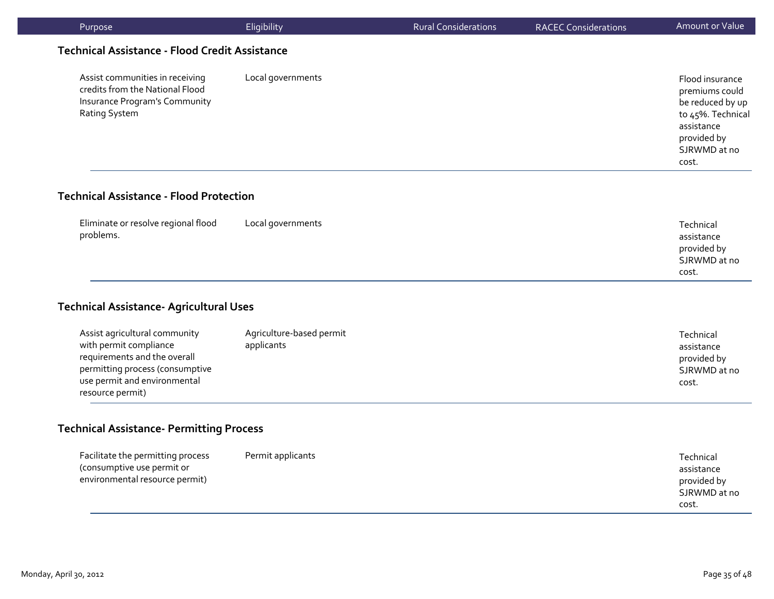| Purpose                                                                                                                                                                        | Eligibility                            | <b>Rural Considerations</b> | <b>RACEC Considerations</b> | Amount or Value                                                                                                                  |
|--------------------------------------------------------------------------------------------------------------------------------------------------------------------------------|----------------------------------------|-----------------------------|-----------------------------|----------------------------------------------------------------------------------------------------------------------------------|
| <b>Technical Assistance - Flood Credit Assistance</b>                                                                                                                          |                                        |                             |                             |                                                                                                                                  |
| Assist communities in receiving<br>credits from the National Flood<br>Insurance Program's Community<br>Rating System                                                           | Local governments                      |                             |                             | Flood insurance<br>premiums could<br>be reduced by up<br>to 45%. Technical<br>assistance<br>provided by<br>SJRWMD at no<br>cost. |
| <b>Technical Assistance - Flood Protection</b>                                                                                                                                 |                                        |                             |                             |                                                                                                                                  |
| Eliminate or resolve regional flood<br>problems.                                                                                                                               | Local governments                      |                             |                             | Technical<br>assistance<br>provided by<br>SJRWMD at no<br>cost.                                                                  |
| <b>Technical Assistance- Agricultural Uses</b>                                                                                                                                 |                                        |                             |                             |                                                                                                                                  |
| Assist agricultural community<br>with permit compliance<br>requirements and the overall<br>permitting process (consumptive<br>use permit and environmental<br>resource permit) | Agriculture-based permit<br>applicants |                             |                             | Technical<br>assistance<br>provided by<br>SJRWMD at no<br>cost.                                                                  |
| <b>Technical Assistance- Permitting Process</b>                                                                                                                                |                                        |                             |                             |                                                                                                                                  |
| Facilitate the permitting process                                                                                                                                              | Permit applicants                      |                             |                             | Technical                                                                                                                        |

| Facilitate the permitting process | Permit applicants | Technical    |
|-----------------------------------|-------------------|--------------|
| (consumptive use permit or        |                   | assistance   |
| environmental resource permit)    |                   | provided by  |
|                                   |                   | SJRWMD at no |
|                                   |                   | cost.        |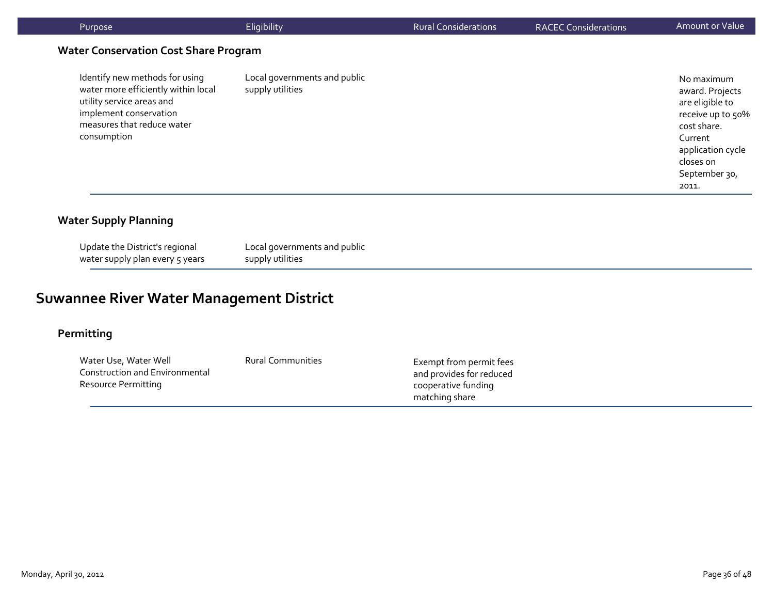| Purpose                                                                                                                                                                   | Eligibility                                      | <b>Rural Considerations</b> | <b>RACEC Considerations</b> | Amount or Value                                                                                                                                             |
|---------------------------------------------------------------------------------------------------------------------------------------------------------------------------|--------------------------------------------------|-----------------------------|-----------------------------|-------------------------------------------------------------------------------------------------------------------------------------------------------------|
| <b>Water Conservation Cost Share Program</b>                                                                                                                              |                                                  |                             |                             |                                                                                                                                                             |
| Identify new methods for using<br>water more efficiently within local<br>utility service areas and<br>implement conservation<br>measures that reduce water<br>consumption | Local governments and public<br>supply utilities |                             |                             | No maximum<br>award. Projects<br>are eligible to<br>receive up to 50%<br>cost share.<br>Current<br>application cycle<br>closes on<br>September 30,<br>2011. |

#### **Water Supply Planning**

Update the District's regional water supply plan every 5 years

Local governments and public supply utilities

# **Suwannee River Water Management District**

#### **Permitting**

Water Use, Water Well Construction and Environmental Resource Permitting Rural Communities Exempt from permit fees and provides for reduced cooperative funding matching share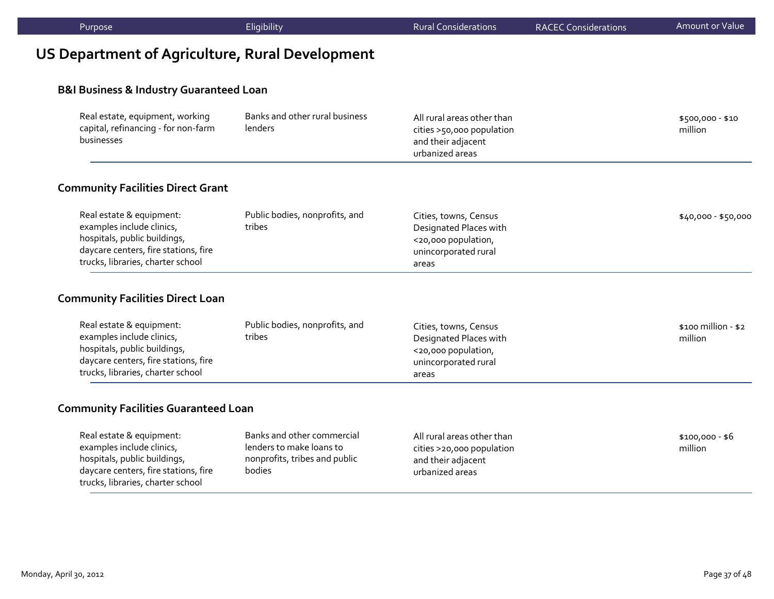| Purpose                                                                                                                                                            | Eligibility                                                                                       | <b>Rural Considerations</b>                                                                             | <b>RACEC Considerations</b> | <b>Amount or Value</b>           |
|--------------------------------------------------------------------------------------------------------------------------------------------------------------------|---------------------------------------------------------------------------------------------------|---------------------------------------------------------------------------------------------------------|-----------------------------|----------------------------------|
| <b>US Department of Agriculture, Rural Development</b>                                                                                                             |                                                                                                   |                                                                                                         |                             |                                  |
| <b>B&amp;I Business &amp; Industry Guaranteed Loan</b>                                                                                                             |                                                                                                   |                                                                                                         |                             |                                  |
| Real estate, equipment, working<br>capital, refinancing - for non-farm<br>businesses                                                                               | Banks and other rural business<br>lenders                                                         | All rural areas other than<br>cities >50,000 population<br>and their adjacent<br>urbanized areas        |                             | \$500,000 - \$10<br>million      |
| <b>Community Facilities Direct Grant</b>                                                                                                                           |                                                                                                   |                                                                                                         |                             |                                  |
| Real estate & equipment:<br>examples include clinics,<br>hospitals, public buildings,<br>daycare centers, fire stations, fire<br>trucks, libraries, charter school | Public bodies, nonprofits, and<br>tribes                                                          | Cities, towns, Census<br>Designated Places with<br><20,000 population,<br>unincorporated rural<br>areas |                             | \$40,000 - \$50,000              |
| <b>Community Facilities Direct Loan</b>                                                                                                                            |                                                                                                   |                                                                                                         |                             |                                  |
| Real estate & equipment:<br>examples include clinics,<br>hospitals, public buildings,<br>daycare centers, fire stations, fire<br>trucks, libraries, charter school | Public bodies, nonprofits, and<br>tribes                                                          | Cities, towns, Census<br>Designated Places with<br><20,000 population,<br>unincorporated rural<br>areas |                             | $$100$ million - $$2$<br>million |
| <b>Community Facilities Guaranteed Loan</b>                                                                                                                        |                                                                                                   |                                                                                                         |                             |                                  |
| Real estate & equipment:<br>examples include clinics,<br>hospitals, public buildings,<br>daycare centers, fire stations, fire<br>trucks, libraries, charter school | Banks and other commercial<br>lenders to make loans to<br>nonprofits, tribes and public<br>bodies | All rural areas other than<br>cities >20,000 population<br>and their adjacent<br>urbanized areas        |                             | $$100,000 - $6$<br>million       |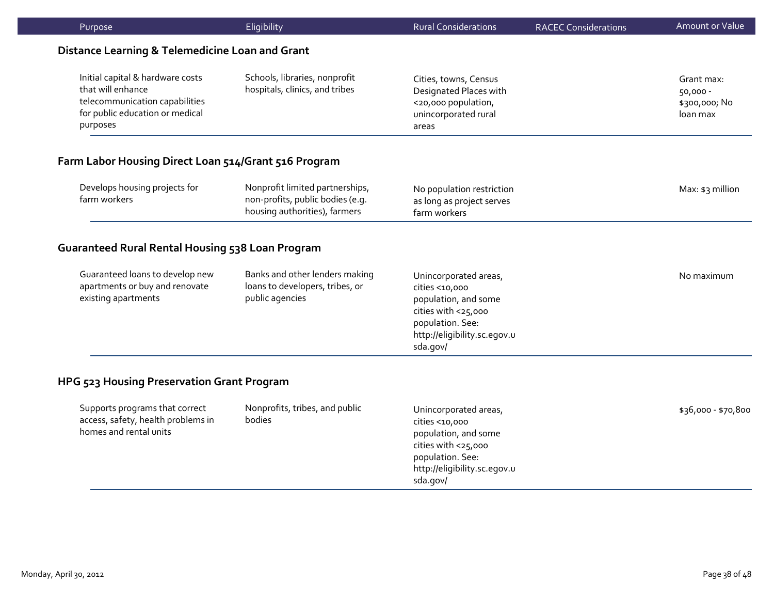| Purpose                                                                                                                                | Eligibility                                                                                          | <b>Rural Considerations</b>                                                                                                                            | <b>RACEC Considerations</b> | Amount or Value                                     |
|----------------------------------------------------------------------------------------------------------------------------------------|------------------------------------------------------------------------------------------------------|--------------------------------------------------------------------------------------------------------------------------------------------------------|-----------------------------|-----------------------------------------------------|
| Distance Learning & Telemedicine Loan and Grant                                                                                        |                                                                                                      |                                                                                                                                                        |                             |                                                     |
| Initial capital & hardware costs<br>that will enhance<br>telecommunication capabilities<br>for public education or medical<br>purposes | Schools, libraries, nonprofit<br>hospitals, clinics, and tribes                                      | Cities, towns, Census<br>Designated Places with<br><20,000 population,<br>unincorporated rural<br>areas                                                |                             | Grant max:<br>50,000 -<br>\$300,000; No<br>loan max |
| Farm Labor Housing Direct Loan 514/Grant 516 Program                                                                                   |                                                                                                      |                                                                                                                                                        |                             |                                                     |
| Develops housing projects for<br>farm workers                                                                                          | Nonprofit limited partnerships,<br>non-profits, public bodies (e.g.<br>housing authorities), farmers | No population restriction<br>as long as project serves<br>farm workers                                                                                 |                             | Max: \$3 million                                    |
| <b>Guaranteed Rural Rental Housing 538 Loan Program</b>                                                                                |                                                                                                      |                                                                                                                                                        |                             |                                                     |
| Guaranteed loans to develop new<br>apartments or buy and renovate<br>existing apartments                                               | Banks and other lenders making<br>loans to developers, tribes, or<br>public agencies                 | Unincorporated areas,<br>cities <10,000<br>population, and some<br>cities with <25,000<br>population. See:<br>http://eligibility.sc.egov.u<br>sda.gov/ |                             | No maximum                                          |
| HPG 523 Housing Preservation Grant Program                                                                                             |                                                                                                      |                                                                                                                                                        |                             |                                                     |
| Supports programs that correct<br>access, safety, health problems in<br>homes and rental units                                         | Nonprofits, tribes, and public<br>bodies                                                             | Unincorporated areas,<br>cities <10,000<br>population, and some<br>cities with <25,000<br>population. See:<br>http://eligibility.sc.egov.u<br>sda.gov/ |                             | \$36,000 - \$70,800                                 |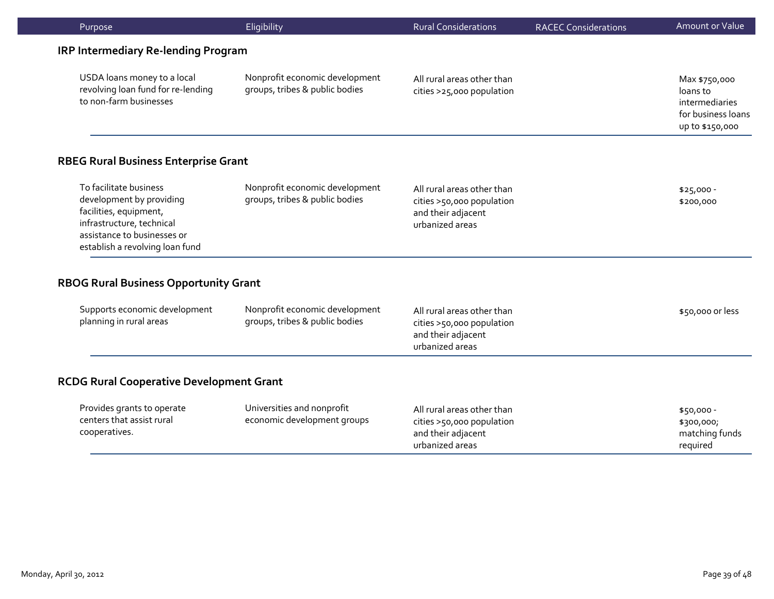| Purpose                                                                                                                                                                     | Eligibility                                                      | <b>Rural Considerations</b>                                                                      | <b>RACEC Considerations</b> | Amount or Value                                                                      |
|-----------------------------------------------------------------------------------------------------------------------------------------------------------------------------|------------------------------------------------------------------|--------------------------------------------------------------------------------------------------|-----------------------------|--------------------------------------------------------------------------------------|
| <b>IRP Intermediary Re-lending Program</b>                                                                                                                                  |                                                                  |                                                                                                  |                             |                                                                                      |
| USDA loans money to a local<br>revolving loan fund for re-lending<br>to non-farm businesses                                                                                 | Nonprofit economic development<br>groups, tribes & public bodies | All rural areas other than<br>cities >25,000 population                                          |                             | Max \$750,000<br>loans to<br>intermediaries<br>for business loans<br>up to \$150,000 |
| <b>RBEG Rural Business Enterprise Grant</b>                                                                                                                                 |                                                                  |                                                                                                  |                             |                                                                                      |
| To facilitate business<br>development by providing<br>facilities, equipment,<br>infrastructure, technical<br>assistance to businesses or<br>establish a revolving loan fund | Nonprofit economic development<br>groups, tribes & public bodies | All rural areas other than<br>cities >50,000 population<br>and their adjacent<br>urbanized areas |                             | $$25,000 -$<br>\$200,000                                                             |
| <b>RBOG Rural Business Opportunity Grant</b>                                                                                                                                |                                                                  |                                                                                                  |                             |                                                                                      |
| Supports economic development<br>planning in rural areas                                                                                                                    | Nonprofit economic development<br>groups, tribes & public bodies | All rural areas other than<br>cities >50,000 population<br>and their adjacent<br>urbanized areas |                             | \$50,000 or less                                                                     |
| <b>RCDG Rural Cooperative Development Grant</b>                                                                                                                             |                                                                  |                                                                                                  |                             |                                                                                      |
| Provides grants to operate<br>centers that assist rural<br>cooperatives.                                                                                                    | Universities and nonprofit<br>economic development groups        | All rural areas other than<br>cities >50,000 population<br>and their adjacent<br>urbanized areas |                             | \$50,000 -<br>\$300,000;<br>matching funds<br>required                               |
|                                                                                                                                                                             |                                                                  |                                                                                                  |                             |                                                                                      |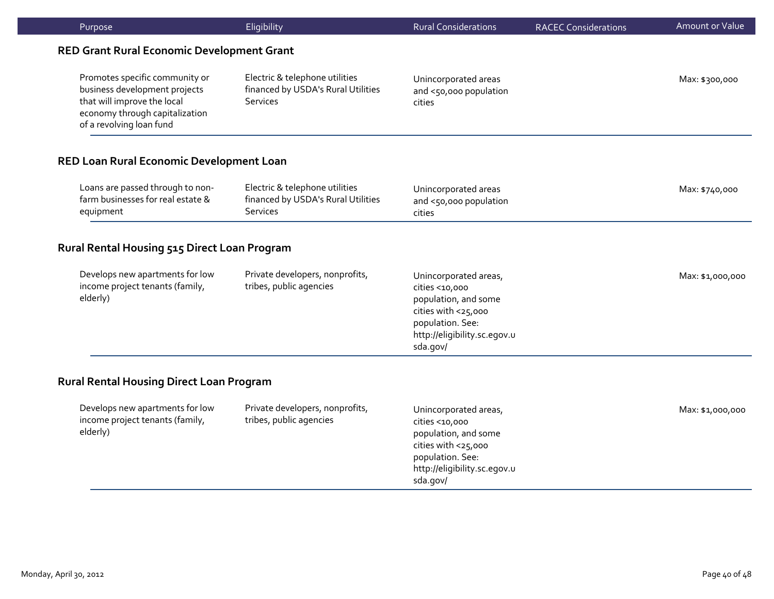| Purpose                                                                                                                                                      | Eligibility                                                                             | <b>Rural Considerations</b>                                                                                                                            | <b>RACEC Considerations</b> | Amount or Value  |
|--------------------------------------------------------------------------------------------------------------------------------------------------------------|-----------------------------------------------------------------------------------------|--------------------------------------------------------------------------------------------------------------------------------------------------------|-----------------------------|------------------|
| <b>RED Grant Rural Economic Development Grant</b>                                                                                                            |                                                                                         |                                                                                                                                                        |                             |                  |
| Promotes specific community or<br>business development projects<br>that will improve the local<br>economy through capitalization<br>of a revolving loan fund | Electric & telephone utilities<br>financed by USDA's Rural Utilities<br><b>Services</b> | Unincorporated areas<br>and <50,000 population<br>cities                                                                                               |                             | Max: \$300,000   |
| RED Loan Rural Economic Development Loan                                                                                                                     |                                                                                         |                                                                                                                                                        |                             |                  |
| Loans are passed through to non-<br>farm businesses for real estate &<br>equipment                                                                           | Electric & telephone utilities<br>financed by USDA's Rural Utilities<br><b>Services</b> | Unincorporated areas<br>and <50,000 population<br>cities                                                                                               |                             | Max: \$740,000   |
| Rural Rental Housing 515 Direct Loan Program                                                                                                                 |                                                                                         |                                                                                                                                                        |                             |                  |
| Develops new apartments for low<br>income project tenants (family,<br>elderly)                                                                               | Private developers, nonprofits,<br>tribes, public agencies                              | Unincorporated areas,<br>cities <10,000<br>population, and some<br>cities with <25,000<br>population. See:<br>http://eligibility.sc.egov.u<br>sda.gov/ |                             | Max: \$1,000,000 |
| <b>Rural Rental Housing Direct Loan Program</b>                                                                                                              |                                                                                         |                                                                                                                                                        |                             |                  |
| Develops new apartments for low<br>income project tenants (family,<br>elderly)                                                                               | Private developers, nonprofits,<br>tribes, public agencies                              | Unincorporated areas,<br>cities <10,000<br>population, and some<br>cities with <25,000<br>population. See:<br>http://eligibility.sc.egov.u<br>sda.gov/ |                             | Max: \$1,000,000 |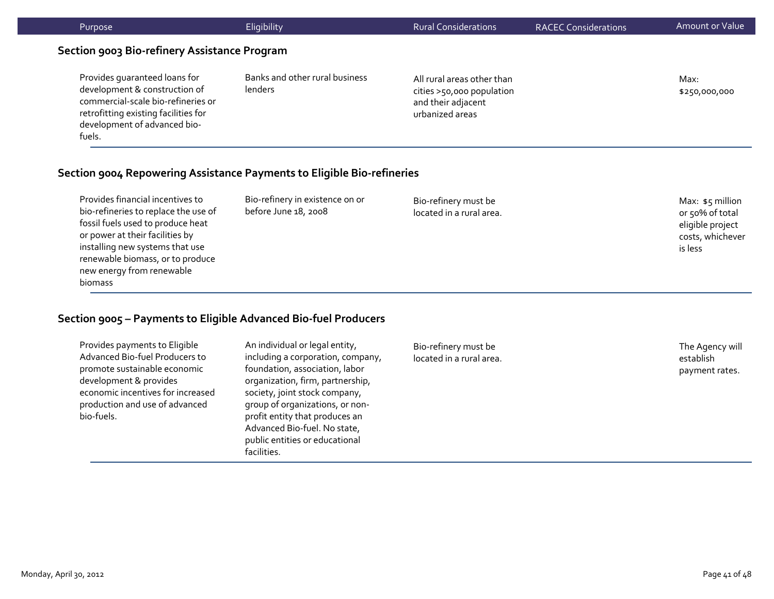| Purpose                                                                                                                                                                                | Eligibility                                             | <b>Rural Considerations</b>                                                                      | <b>RACEC Considerations</b> | Amount or Value                                          |
|----------------------------------------------------------------------------------------------------------------------------------------------------------------------------------------|---------------------------------------------------------|--------------------------------------------------------------------------------------------------|-----------------------------|----------------------------------------------------------|
| Section 9003 Bio-refinery Assistance Program                                                                                                                                           |                                                         |                                                                                                  |                             |                                                          |
| Provides quaranteed loans for<br>development & construction of<br>commercial-scale bio-refineries or<br>retrofitting existing facilities for<br>development of advanced bio-<br>fuels. | Banks and other rural business<br>lenders               | All rural areas other than<br>cities >50,000 population<br>and their adjacent<br>urbanized areas |                             | Max:<br>\$250,000,000                                    |
| Section 9004 Repowering Assistance Payments to Eligible Bio-refineries                                                                                                                 |                                                         |                                                                                                  |                             |                                                          |
| Provides financial incentives to<br>bio-refineries to replace the use of<br>fossil fuels used to produce heat                                                                          | Bio-refinery in existence on or<br>before June 18, 2008 | Bio-refinery must be<br>located in a rural area.                                                 |                             | Max: $$5$ million<br>or 50% of total<br>eligible project |

#### **Section 9005 – Payments to Eligible Advanced Bio‐fuel Producers**

Provides payments to Eligible Advanced Bio‐fuel Producers to promote sustainable economic development & provides economic incentives for increased production and use of advanced bio‐fuels.

or power at their facilities by installing new systems that use renewable biomass, or to produce new energy from renewable

biomass

An individual or legal entity, including <sup>a</sup> corporation, company, foundation, association, labor organization, firm, partnership, society, joint stock company, group of organizations, or non‐ profit entity that produces an Advanced Bio‐fuel. No state, public entities or educational facilities.

Bio‐refinery must be located in <sup>a</sup> rural area.

The Agency will establishpayment rates.

costs, whichever

is less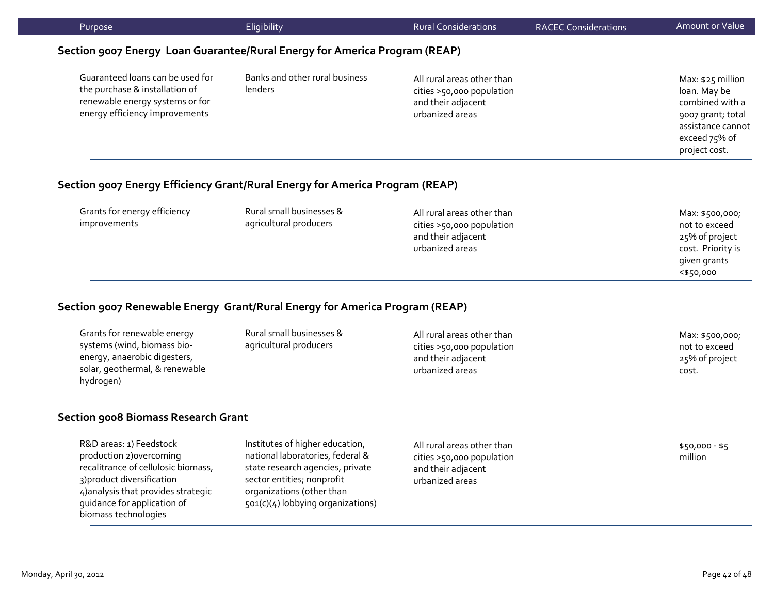|                                                                                                                                           | Eligibility                                                                  | <b>Rural Considerations</b>                                                                      | <b>RACEC Considerations</b> | Amount or Value                                                                                                                  |
|-------------------------------------------------------------------------------------------------------------------------------------------|------------------------------------------------------------------------------|--------------------------------------------------------------------------------------------------|-----------------------------|----------------------------------------------------------------------------------------------------------------------------------|
|                                                                                                                                           | Section 9007 Energy Loan Guarantee/Rural Energy for America Program (REAP)   |                                                                                                  |                             |                                                                                                                                  |
| Guaranteed loans can be used for<br>the purchase & installation of<br>renewable energy systems or for<br>energy efficiency improvements   | Banks and other rural business<br>lenders                                    | All rural areas other than<br>cities >50,000 population<br>and their adjacent<br>urbanized areas |                             | Max: \$25 million<br>loan. May be<br>combined with a<br>9007 grant; total<br>assistance cannot<br>exceed 75% of<br>project cost. |
|                                                                                                                                           | Section 9007 Energy Efficiency Grant/Rural Energy for America Program (REAP) |                                                                                                  |                             |                                                                                                                                  |
| Grants for energy efficiency<br>improvements                                                                                              | Rural small businesses &<br>agricultural producers                           | All rural areas other than<br>cities >50,000 population<br>and their adjacent<br>urbanized areas |                             | Max: \$500,000;<br>not to exceed<br>25% of project<br>cost. Priority is<br>given grants                                          |
|                                                                                                                                           |                                                                              |                                                                                                  |                             | $<$ \$50,000                                                                                                                     |
|                                                                                                                                           | Section 9007 Renewable Energy Grant/Rural Energy for America Program (REAP)  |                                                                                                  |                             |                                                                                                                                  |
| Grants for renewable energy<br>systems (wind, biomass bio-<br>energy, anaerobic digesters,<br>solar, geothermal, & renewable<br>hydrogen) | Rural small businesses &<br>agricultural producers                           | All rural areas other than<br>cities >50,000 population<br>and their adjacent<br>urbanized areas |                             | Max: \$500,000;<br>not to exceed<br>25% of project<br>cost.                                                                      |
| <b>Section 9008 Biomass Research Grant</b>                                                                                                |                                                                              |                                                                                                  |                             |                                                                                                                                  |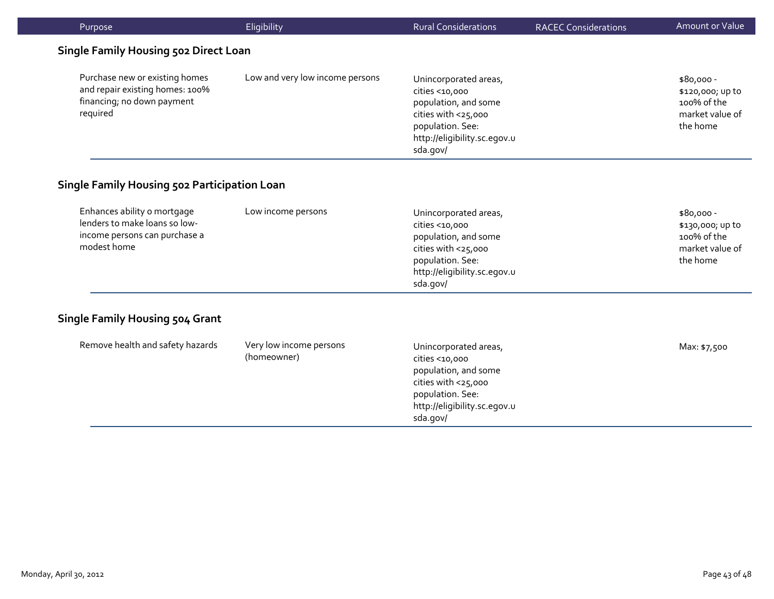| Purpose                                                                                                      | Eligibility                            | <b>Rural Considerations</b>                                                                                                                            | <b>RACEC Considerations</b> | Amount or Value                                                               |
|--------------------------------------------------------------------------------------------------------------|----------------------------------------|--------------------------------------------------------------------------------------------------------------------------------------------------------|-----------------------------|-------------------------------------------------------------------------------|
| <b>Single Family Housing 502 Direct Loan</b>                                                                 |                                        |                                                                                                                                                        |                             |                                                                               |
| Purchase new or existing homes<br>and repair existing homes: 100%<br>financing; no down payment<br>required  | Low and very low income persons        | Unincorporated areas,<br>cities <10,000<br>population, and some<br>cities with <25,000<br>population. See:<br>http://eligibility.sc.egov.u<br>sda.gov/ |                             | $$80,000 -$<br>\$120,000; up to<br>100% of the<br>market value of<br>the home |
| Single Family Housing 502 Participation Loan                                                                 |                                        |                                                                                                                                                        |                             |                                                                               |
| Enhances ability o mortgage<br>lenders to make loans so low-<br>income persons can purchase a<br>modest home | Low income persons                     | Unincorporated areas,<br>cities <10,000<br>population, and some<br>cities with <25,000<br>population. See:<br>http://eligibility.sc.egov.u<br>sda.gov/ |                             | $$80,000 -$<br>\$130,000; up to<br>100% of the<br>market value of<br>the home |
| <b>Single Family Housing 504 Grant</b>                                                                       |                                        |                                                                                                                                                        |                             |                                                                               |
| Remove health and safety hazards                                                                             | Very low income persons<br>(homeowner) | Unincorporated areas,<br>cities <10,000<br>population, and some<br>cities with <25,000<br>population. See:<br>http://eligibility.sc.egov.u<br>sda.gov/ |                             | Max: \$7,500                                                                  |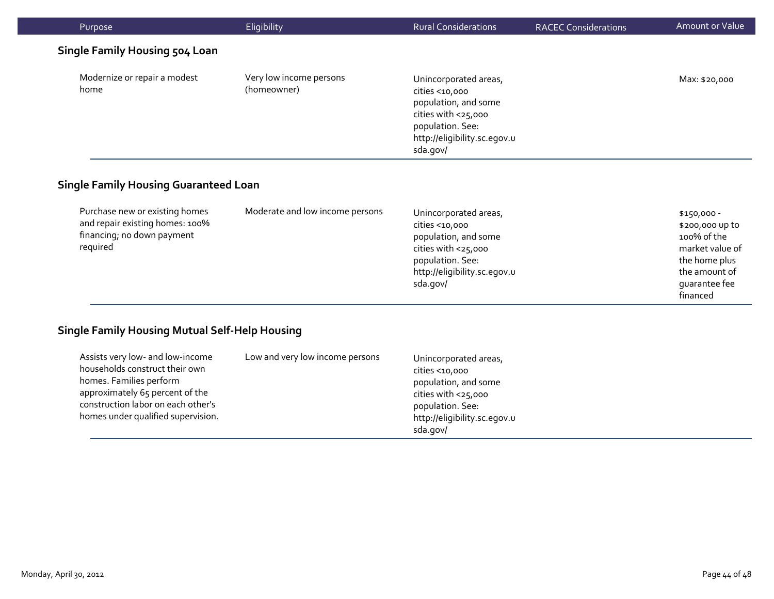| Purpose                               | Eligibility                            | <b>Rural Considerations</b>                                                                                                                            | <b>RACEC Considerations</b> | Amount or Value |
|---------------------------------------|----------------------------------------|--------------------------------------------------------------------------------------------------------------------------------------------------------|-----------------------------|-----------------|
| <b>Single Family Housing 504 Loan</b> |                                        |                                                                                                                                                        |                             |                 |
| Modernize or repair a modest<br>home  | Very low income persons<br>(homeowner) | Unincorporated areas,<br>cities <10,000<br>population, and some<br>cities with <25,000<br>population. See:<br>http://eligibility.sc.egov.u<br>sda.gov/ |                             | Max: \$20,000   |

# **Single Family Housing Guaranteed Loan**

| Purchase new or existing homes<br>and repair existing homes: 100%<br>financing; no down payment<br>required | Moderate and low income persons | Unincorporated areas,<br>cities <10,000<br>population, and some<br>cities with <25,000<br>population. See:<br>http://eligibility.sc.egov.u<br>sda.gov/ | \$150,000 -<br>\$200,000 up to<br>100% of the<br>market value of<br>the home plus<br>the amount of<br>quarantee fee |
|-------------------------------------------------------------------------------------------------------------|---------------------------------|--------------------------------------------------------------------------------------------------------------------------------------------------------|---------------------------------------------------------------------------------------------------------------------|
|                                                                                                             |                                 |                                                                                                                                                        | financed                                                                                                            |

# **Single Family Housing Mutual Self‐Help Housing**

| Assists very low- and low-income<br>households construct their own<br>homes. Families perform<br>approximately 65 percent of the<br>construction labor on each other's<br>homes under qualified supervision. | Low and very low income persons | Unincorporated areas,<br>cities <10,000<br>population, and some<br>cities with $<$ 25,000<br>population. See:<br>http://eligibility.sc.egov.u |
|--------------------------------------------------------------------------------------------------------------------------------------------------------------------------------------------------------------|---------------------------------|-----------------------------------------------------------------------------------------------------------------------------------------------|
|                                                                                                                                                                                                              |                                 | sda.gov/                                                                                                                                      |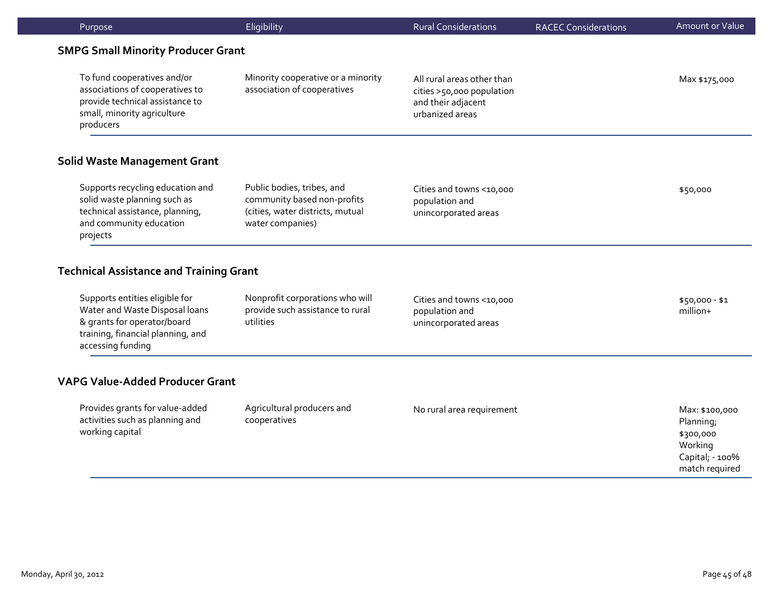| Purpose                                                                                                                                                   | Eligibility                                                                                                       | <b>Rural Considerations</b>                                                                      | <b>RACEC Considerations</b> | <b>Amount or Value</b>                                                                   |
|-----------------------------------------------------------------------------------------------------------------------------------------------------------|-------------------------------------------------------------------------------------------------------------------|--------------------------------------------------------------------------------------------------|-----------------------------|------------------------------------------------------------------------------------------|
| <b>SMPG Small Minority Producer Grant</b>                                                                                                                 |                                                                                                                   |                                                                                                  |                             |                                                                                          |
| To fund cooperatives and/or<br>associations of cooperatives to<br>provide technical assistance to<br>small, minority agriculture<br>producers             | Minority cooperative or a minority<br>association of cooperatives                                                 | All rural areas other than<br>cities >50,000 population<br>and their adjacent<br>urbanized areas |                             | Max \$175,000                                                                            |
| <b>Solid Waste Management Grant</b>                                                                                                                       |                                                                                                                   |                                                                                                  |                             |                                                                                          |
| Supports recycling education and<br>solid waste planning such as<br>technical assistance, planning,<br>and community education<br>projects                | Public bodies, tribes, and<br>community based non-profits<br>(cities, water districts, mutual<br>water companies) | Cities and towns <10,000<br>population and<br>unincorporated areas                               |                             | \$50,000                                                                                 |
| <b>Technical Assistance and Training Grant</b>                                                                                                            |                                                                                                                   |                                                                                                  |                             |                                                                                          |
| Supports entities eligible for<br>Water and Waste Disposal loans<br>& grants for operator/board<br>training, financial planning, and<br>accessing funding | Nonprofit corporations who will<br>provide such assistance to rural<br>utilities                                  | Cities and towns <10,000<br>population and<br>unincorporated areas                               |                             | $$50,000 - $1$<br>million+                                                               |
| <b>VAPG Value-Added Producer Grant</b>                                                                                                                    |                                                                                                                   |                                                                                                  |                             |                                                                                          |
| Provides grants for value-added<br>activities such as planning and<br>working capital                                                                     | Agricultural producers and<br>cooperatives                                                                        | No rural area requirement                                                                        |                             | Max: \$100,000<br>Planning;<br>\$300,000<br>Working<br>Capital; - 100%<br>match required |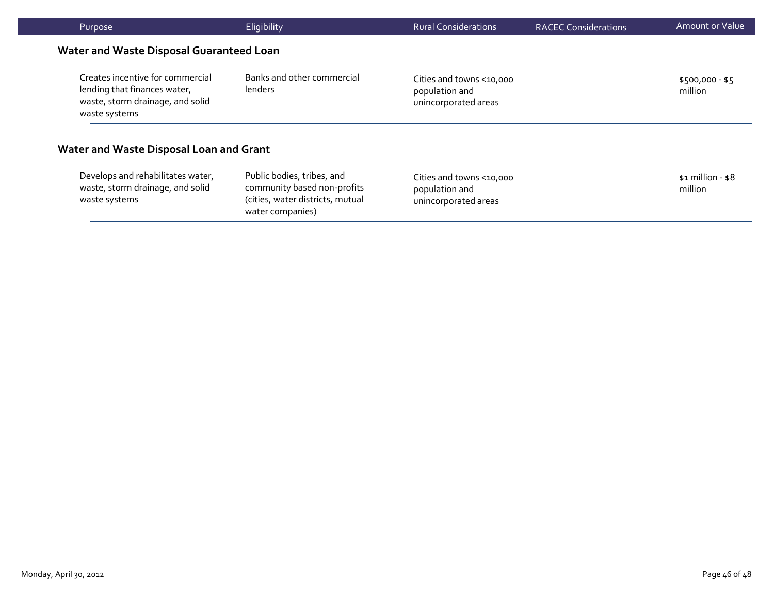| Purpose                                                                                                               | Eligibility                                                                                                       | <b>Rural Considerations</b>                                        | <b>RACEC Considerations</b> | Amount or Value                |
|-----------------------------------------------------------------------------------------------------------------------|-------------------------------------------------------------------------------------------------------------------|--------------------------------------------------------------------|-----------------------------|--------------------------------|
| <b>Water and Waste Disposal Guaranteed Loan</b>                                                                       |                                                                                                                   |                                                                    |                             |                                |
| Creates incentive for commercial<br>lending that finances water,<br>waste, storm drainage, and solid<br>waste systems | Banks and other commercial<br>lenders                                                                             | Cities and towns <10,000<br>population and<br>unincorporated areas |                             | \$500,000 - \$5<br>million     |
| Water and Waste Disposal Loan and Grant                                                                               |                                                                                                                   |                                                                    |                             |                                |
| Develops and rehabilitates water,<br>waste, storm drainage, and solid<br>waste systems                                | Public bodies, tribes, and<br>community based non-profits<br>(cities, water districts, mutual<br>water companies) | Cities and towns <10,000<br>population and<br>unincorporated areas |                             | $$1$ million - $$8$<br>million |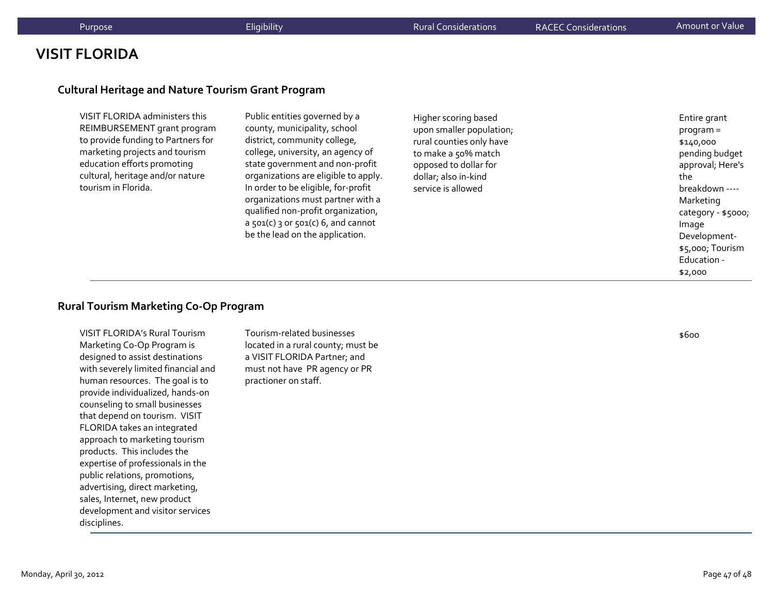# **VISIT FLORIDA**

#### **Cultural Heritage and Nature Tourism Grant Program**

VISIT FLORIDA administers this REIMBURSEMENT grant program to provide funding to Partners for marketing projects and tourism education efforts promoting cultural, heritage and/or nature tourism in Florida.

Public entities governed by <sup>a</sup> county, municipality, school district, community college, college, university, an agency of state governmen<sup>t</sup> and non‐profit organizations are eligible to apply. In order to be eligible, for‐profit organizations must partner with <sup>a</sup> qualified non‐profit organization, a 501(c) 3 or 501(c) 6, and cannot be the lead on the application.

#### Higher scoring based upon smaller population; rural counties only have to make <sup>a</sup> 50% match opposed to dollar for dollar; also in‐kind service is allowed

Entire grant program <sup>=</sup> \$140,000 pending budget approval; Here's thebreakdown ‐‐‐‐ Marketing category ‐ \$5000; Image Development‐ \$5,000; Tourism Education ‐ \$2,000

#### **Rural Tourism Marketing Co‐Op Program**

VISIT FLORIDA's Rural TourismMarketing Co‐Op Program is designed to assist destinations with severely limited financial and human resources. The goal is to provide individualized, hands‐on counseling to small businesses that depend on tourism. VISIT FLORIDA takes an integrated approach to marketing tourism products. This includes the expertise of professionals in the public relations, promotions, advertising, direct marketing, sales, Internet, new product development and visitor services disciplines.

Tourism‐related businesses located in <sup>a</sup> rural county; must be a VISIT FLORIDA Partner; and must not have PR agency or PR practioner on staff.

\$600